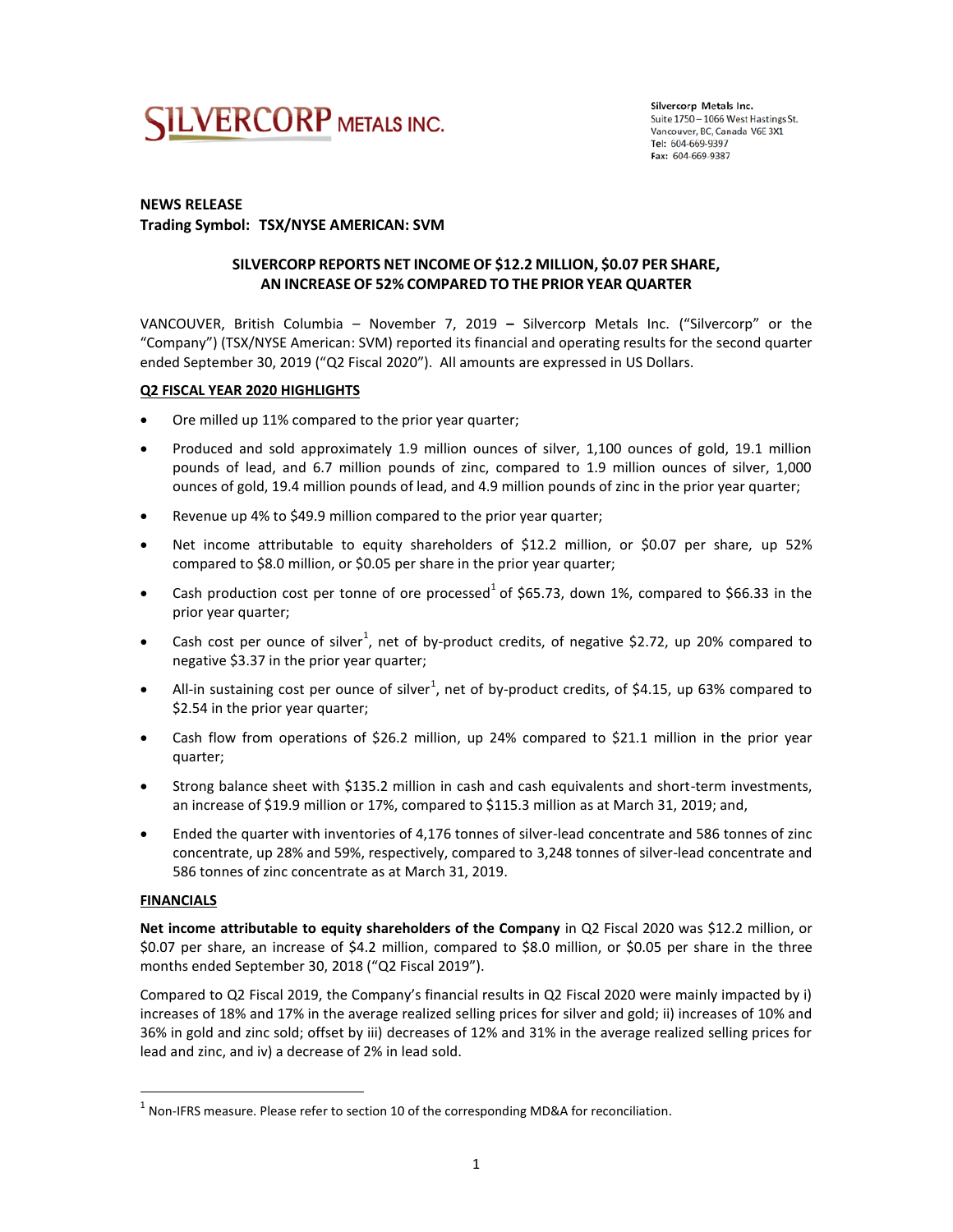

Silvercorp Metals Inc. Suite 1750 - 1066 West Hastings St. Vancouver, BC, Canada V6E 3X1 Tel: 604-669-9397 Fax: 604-669-9387

## **NEWS RELEASE Trading Symbol: TSX/NYSE AMERICAN: SVM**

## **SILVERCORP REPORTS NET INCOME OF \$12.2 MILLION, \$0.07 PER SHARE, AN INCREASE OF 52% COMPARED TO THE PRIOR YEAR QUARTER**

VANCOUVER, British Columbia – November 7, 2019 **–** Silvercorp Metals Inc. ("Silvercorp" or the "Company") (TSX/NYSE American: SVM) reported its financial and operating results for the second quarter ended September 30, 2019 ("Q2 Fiscal 2020"). All amounts are expressed in US Dollars.

### **Q2 FISCAL YEAR 2020 HIGHLIGHTS**

- Ore milled up 11% compared to the prior year quarter;
- Produced and sold approximately 1.9 million ounces of silver, 1,100 ounces of gold, 19.1 million pounds of lead, and 6.7 million pounds of zinc, compared to 1.9 million ounces of silver, 1,000 ounces of gold, 19.4 million pounds of lead, and 4.9 million pounds of zinc in the prior year quarter;
- Revenue up 4% to \$49.9 million compared to the prior year quarter;
- Net income attributable to equity shareholders of \$12.2 million, or \$0.07 per share, up 52% compared to \$8.0 million, or \$0.05 per share in the prior year quarter;
- Cash production cost per tonne of ore processed<sup>1</sup> of \$65.73, down 1%, compared to \$66.33 in the prior year quarter;
- Cash cost per ounce of silver<sup>1</sup>, net of by-product credits, of negative \$2.72, up 20% compared to negative \$3.37 in the prior year quarter;
- All-in sustaining cost per ounce of silver<sup>1</sup>, net of by-product credits, of \$4.15, up 63% compared to \$2.54 in the prior year quarter;
- Cash flow from operations of \$26.2 million, up 24% compared to \$21.1 million in the prior year quarter;
- Strong balance sheet with \$135.2 million in cash and cash equivalents and short-term investments, an increase of \$19.9 million or 17%, compared to \$115.3 million as at March 31, 2019; and,
- Ended the quarter with inventories of 4,176 tonnes of silver-lead concentrate and 586 tonnes of zinc concentrate, up 28% and 59%, respectively, compared to 3,248 tonnes of silver-lead concentrate and 586 tonnes of zinc concentrate as at March 31, 2019.

#### **FINANCIALS**

 $\overline{a}$ 

**Net income attributable to equity shareholders of the Company** in Q2 Fiscal 2020 was \$12.2 million, or \$0.07 per share, an increase of \$4.2 million, compared to \$8.0 million, or \$0.05 per share in the three months ended September 30, 2018 ("Q2 Fiscal 2019").

Compared to Q2 Fiscal 2019, the Company's financial results in Q2 Fiscal 2020 were mainly impacted by i) increases of 18% and 17% in the average realized selling prices for silver and gold; ii) increases of 10% and 36% in gold and zinc sold; offset by iii) decreases of 12% and 31% in the average realized selling prices for lead and zinc, and iv) a decrease of 2% in lead sold.

 $^1$  Non-IFRS measure. Please refer to section 10 of the corresponding MD&A for reconciliation.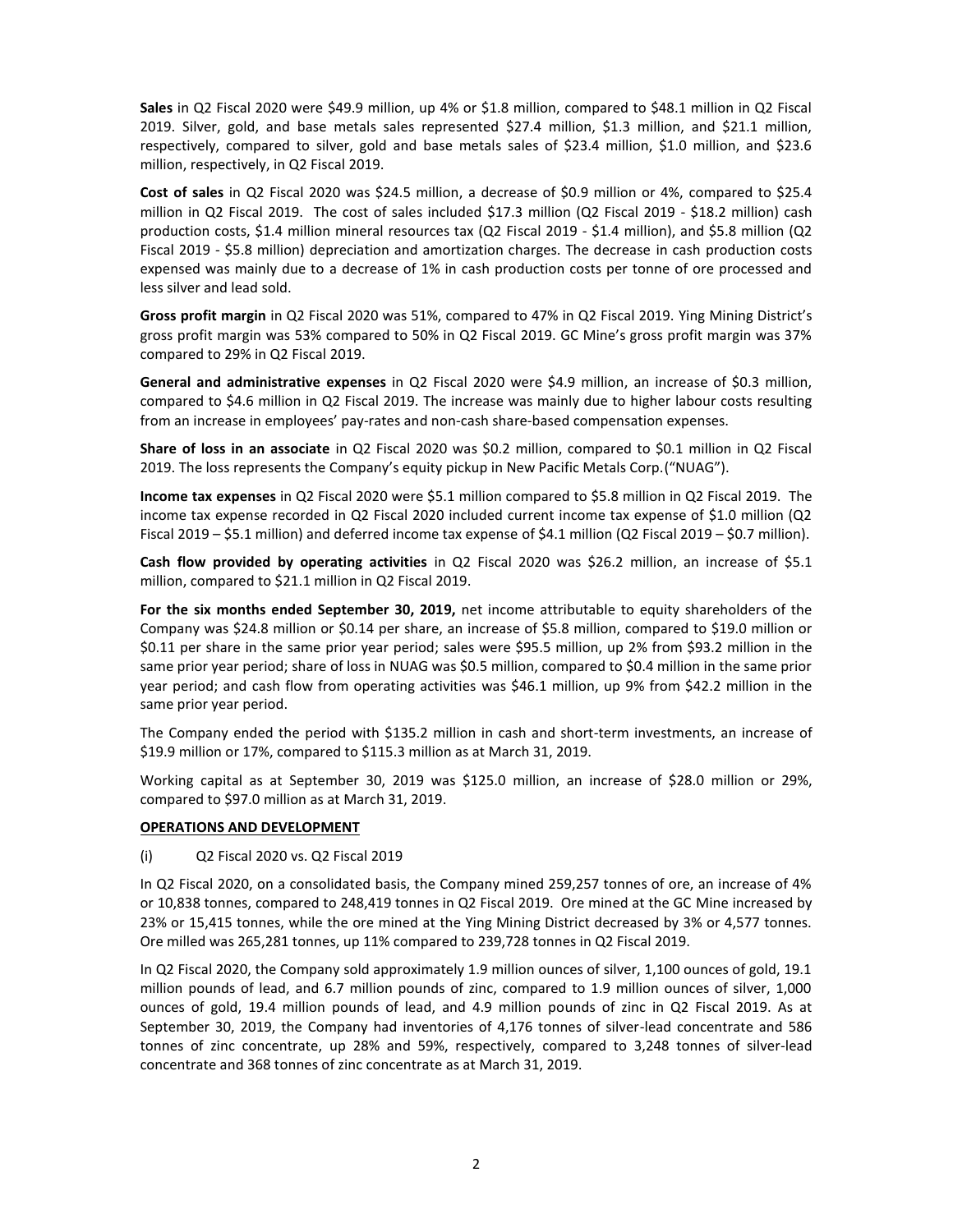**Sales** in Q2 Fiscal 2020 were \$49.9 million, up 4% or \$1.8 million, compared to \$48.1 million in Q2 Fiscal 2019. Silver, gold, and base metals sales represented \$27.4 million, \$1.3 million, and \$21.1 million, respectively, compared to silver, gold and base metals sales of \$23.4 million, \$1.0 million, and \$23.6 million, respectively, in Q2 Fiscal 2019.

**Cost of sales** in Q2 Fiscal 2020 was \$24.5 million, a decrease of \$0.9 million or 4%, compared to \$25.4 million in Q2 Fiscal 2019. The cost of sales included \$17.3 million (Q2 Fiscal 2019 - \$18.2 million) cash production costs, \$1.4 million mineral resources tax (Q2 Fiscal 2019 - \$1.4 million), and \$5.8 million (Q2 Fiscal 2019 - \$5.8 million) depreciation and amortization charges. The decrease in cash production costs expensed was mainly due to a decrease of 1% in cash production costs per tonne of ore processed and less silver and lead sold.

**Gross profit margin** in Q2 Fiscal 2020 was 51%, compared to 47% in Q2 Fiscal 2019. Ying Mining District's gross profit margin was 53% compared to 50% in Q2 Fiscal 2019. GC Mine's gross profit margin was 37% compared to 29% in Q2 Fiscal 2019.

**General and administrative expenses** in Q2 Fiscal 2020 were \$4.9 million, an increase of \$0.3 million, compared to \$4.6 million in Q2 Fiscal 2019. The increase was mainly due to higher labour costs resulting from an increase in employees' pay-rates and non-cash share-based compensation expenses.

**Share of loss in an associate** in Q2 Fiscal 2020 was \$0.2 million, compared to \$0.1 million in Q2 Fiscal 2019. The loss represents the Company's equity pickup in New Pacific Metals Corp.("NUAG").

**Income tax expenses** in Q2 Fiscal 2020 were \$5.1 million compared to \$5.8 million in Q2 Fiscal 2019. The income tax expense recorded in Q2 Fiscal 2020 included current income tax expense of \$1.0 million (Q2 Fiscal 2019 – \$5.1 million) and deferred income tax expense of \$4.1 million (Q2 Fiscal 2019 – \$0.7 million).

**Cash flow provided by operating activities** in Q2 Fiscal 2020 was \$26.2 million, an increase of \$5.1 million, compared to \$21.1 million in Q2 Fiscal 2019.

**For the six months ended September 30, 2019,** net income attributable to equity shareholders of the Company was \$24.8 million or \$0.14 per share, an increase of \$5.8 million, compared to \$19.0 million or \$0.11 per share in the same prior year period; sales were \$95.5 million, up 2% from \$93.2 million in the same prior year period; share of loss in NUAG was \$0.5 million, compared to \$0.4 million in the same prior year period; and cash flow from operating activities was \$46.1 million, up 9% from \$42.2 million in the same prior year period.

The Company ended the period with \$135.2 million in cash and short-term investments, an increase of \$19.9 million or 17%, compared to \$115.3 million as at March 31, 2019.

Working capital as at September 30, 2019 was \$125.0 million, an increase of \$28.0 million or 29%, compared to \$97.0 million as at March 31, 2019.

### **OPERATIONS AND DEVELOPMENT**

### (i) Q2 Fiscal 2020 vs. Q2 Fiscal 2019

In Q2 Fiscal 2020, on a consolidated basis, the Company mined 259,257 tonnes of ore, an increase of 4% or 10,838 tonnes, compared to 248,419 tonnes in Q2 Fiscal 2019. Ore mined at the GC Mine increased by 23% or 15,415 tonnes, while the ore mined at the Ying Mining District decreased by 3% or 4,577 tonnes. Ore milled was 265,281 tonnes, up 11% compared to 239,728 tonnes in Q2 Fiscal 2019.

In Q2 Fiscal 2020, the Company sold approximately 1.9 million ounces of silver, 1,100 ounces of gold, 19.1 million pounds of lead, and 6.7 million pounds of zinc, compared to 1.9 million ounces of silver, 1,000 ounces of gold, 19.4 million pounds of lead, and 4.9 million pounds of zinc in Q2 Fiscal 2019. As at September 30, 2019, the Company had inventories of 4,176 tonnes of silver-lead concentrate and 586 tonnes of zinc concentrate, up 28% and 59%, respectively, compared to 3,248 tonnes of silver-lead concentrate and 368 tonnes of zinc concentrate as at March 31, 2019.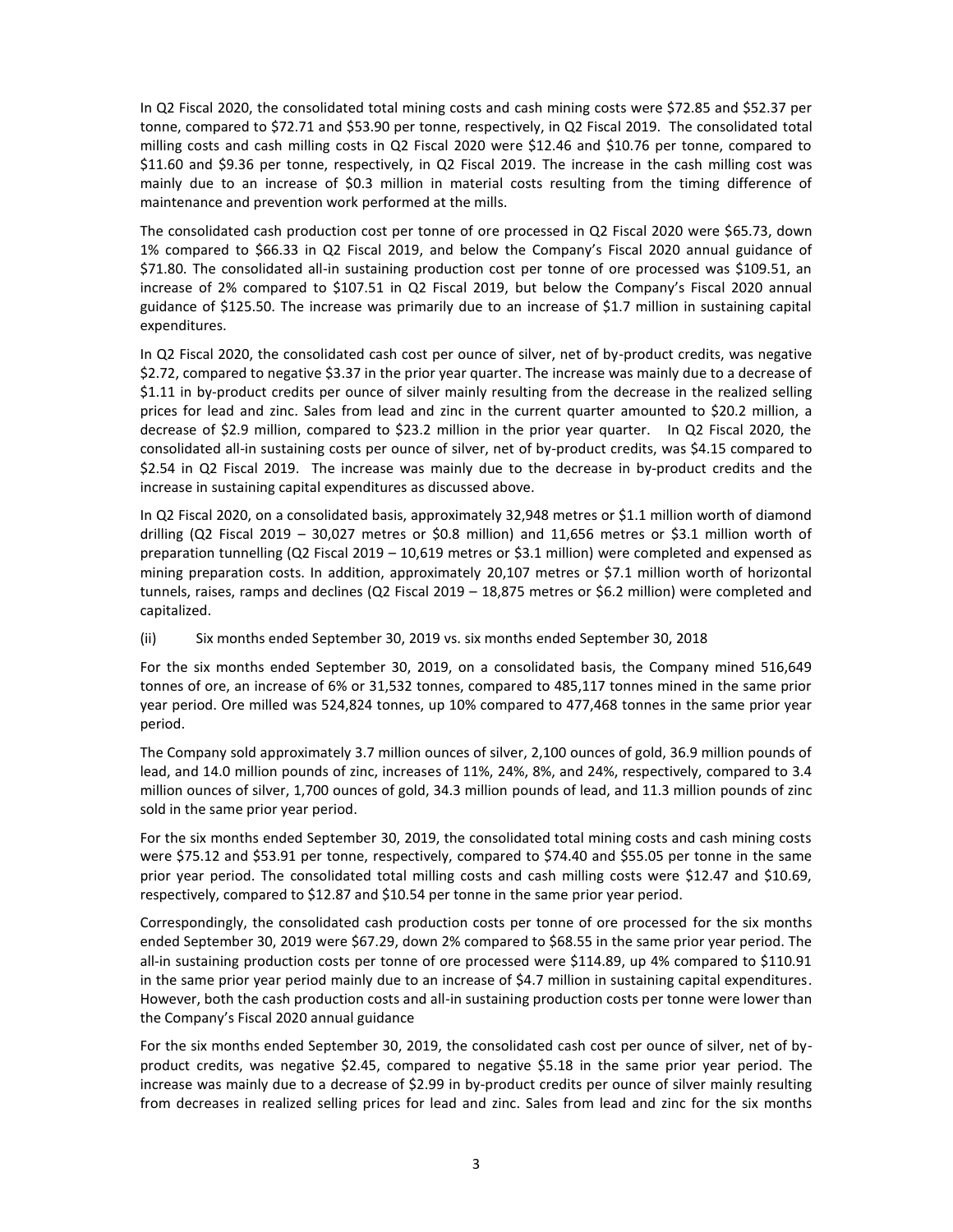In Q2 Fiscal 2020, the consolidated total mining costs and cash mining costs were \$72.85 and \$52.37 per tonne, compared to \$72.71 and \$53.90 per tonne, respectively, in Q2 Fiscal 2019. The consolidated total milling costs and cash milling costs in Q2 Fiscal 2020 were \$12.46 and \$10.76 per tonne, compared to \$11.60 and \$9.36 per tonne, respectively, in Q2 Fiscal 2019. The increase in the cash milling cost was mainly due to an increase of \$0.3 million in material costs resulting from the timing difference of maintenance and prevention work performed at the mills.

The consolidated cash production cost per tonne of ore processed in Q2 Fiscal 2020 were \$65.73, down 1% compared to \$66.33 in Q2 Fiscal 2019, and below the Company's Fiscal 2020 annual guidance of \$71.80. The consolidated all-in sustaining production cost per tonne of ore processed was \$109.51, an increase of 2% compared to \$107.51 in Q2 Fiscal 2019, but below the Company's Fiscal 2020 annual guidance of \$125.50. The increase was primarily due to an increase of \$1.7 million in sustaining capital expenditures.

In Q2 Fiscal 2020, the consolidated cash cost per ounce of silver, net of by-product credits, was negative \$2.72, compared to negative \$3.37 in the prior year quarter. The increase was mainly due to a decrease of \$1.11 in by-product credits per ounce of silver mainly resulting from the decrease in the realized selling prices for lead and zinc. Sales from lead and zinc in the current quarter amounted to \$20.2 million, a decrease of \$2.9 million, compared to \$23.2 million in the prior year quarter. In Q2 Fiscal 2020, the consolidated all-in sustaining costs per ounce of silver, net of by-product credits, was \$4.15 compared to \$2.54 in Q2 Fiscal 2019. The increase was mainly due to the decrease in by-product credits and the increase in sustaining capital expenditures as discussed above.

In Q2 Fiscal 2020, on a consolidated basis, approximately 32,948 metres or \$1.1 million worth of diamond drilling (Q2 Fiscal 2019 – 30,027 metres or \$0.8 million) and 11,656 metres or \$3.1 million worth of preparation tunnelling (Q2 Fiscal 2019 – 10,619 metres or \$3.1 million) were completed and expensed as mining preparation costs. In addition, approximately 20,107 metres or \$7.1 million worth of horizontal tunnels, raises, ramps and declines (Q2 Fiscal 2019 – 18,875 metres or \$6.2 million) were completed and capitalized.

(ii) Six months ended September 30, 2019 vs. six months ended September 30, 2018

For the six months ended September 30, 2019, on a consolidated basis, the Company mined 516,649 tonnes of ore, an increase of 6% or 31,532 tonnes, compared to 485,117 tonnes mined in the same prior year period. Ore milled was 524,824 tonnes, up 10% compared to 477,468 tonnes in the same prior year period.

The Company sold approximately 3.7 million ounces of silver, 2,100 ounces of gold, 36.9 million pounds of lead, and 14.0 million pounds of zinc, increases of 11%, 24%, 8%, and 24%, respectively, compared to 3.4 million ounces of silver, 1,700 ounces of gold, 34.3 million pounds of lead, and 11.3 million pounds of zinc sold in the same prior year period.

For the six months ended September 30, 2019, the consolidated total mining costs and cash mining costs were \$75.12 and \$53.91 per tonne, respectively, compared to \$74.40 and \$55.05 per tonne in the same prior year period. The consolidated total milling costs and cash milling costs were \$12.47 and \$10.69, respectively, compared to \$12.87 and \$10.54 per tonne in the same prior year period.

Correspondingly, the consolidated cash production costs per tonne of ore processed for the six months ended September 30, 2019 were \$67.29, down 2% compared to \$68.55 in the same prior year period. The all-in sustaining production costs per tonne of ore processed were \$114.89, up 4% compared to \$110.91 in the same prior year period mainly due to an increase of \$4.7 million in sustaining capital expenditures. However, both the cash production costs and all-in sustaining production costs per tonne were lower than the Company's Fiscal 2020 annual guidance

For the six months ended September 30, 2019, the consolidated cash cost per ounce of silver, net of byproduct credits, was negative \$2.45, compared to negative \$5.18 in the same prior year period. The increase was mainly due to a decrease of \$2.99 in by-product credits per ounce of silver mainly resulting from decreases in realized selling prices for lead and zinc. Sales from lead and zinc for the six months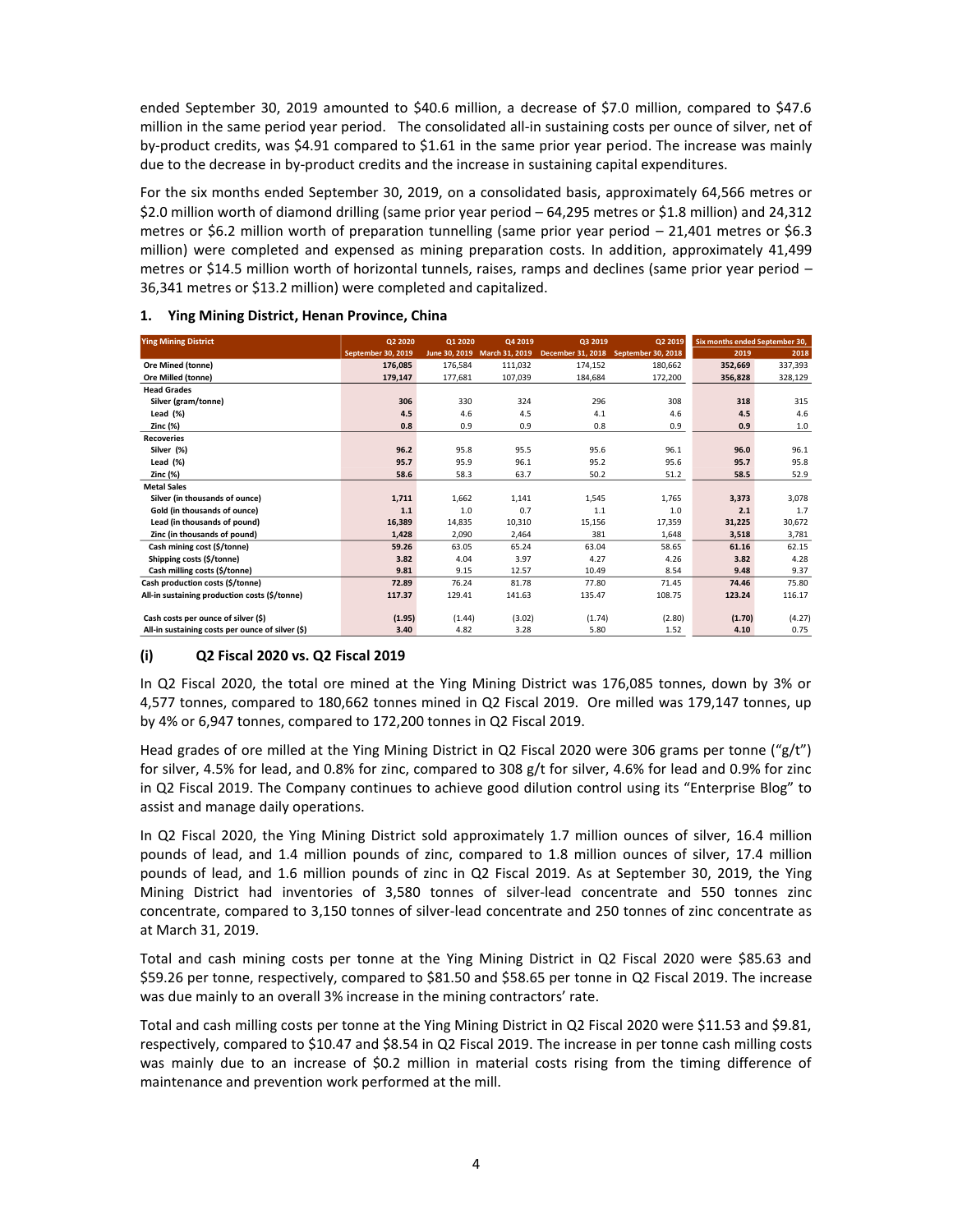ended September 30, 2019 amounted to \$40.6 million, a decrease of \$7.0 million, compared to \$47.6 million in the same period year period. The consolidated all-in sustaining costs per ounce of silver, net of by-product credits, was \$4.91 compared to \$1.61 in the same prior year period. The increase was mainly due to the decrease in by-product credits and the increase in sustaining capital expenditures.

For the six months ended September 30, 2019, on a consolidated basis, approximately 64,566 metres or \$2.0 million worth of diamond drilling (same prior year period – 64,295 metres or \$1.8 million) and 24,312 metres or \$6.2 million worth of preparation tunnelling (same prior year period – 21,401 metres or \$6.3 million) were completed and expensed as mining preparation costs. In addition, approximately 41,499 metres or \$14.5 million worth of horizontal tunnels, raises, ramps and declines (same prior year period – 36,341 metres or \$13.2 million) were completed and capitalized.

| <b>Ying Mining District</b>                      | Q2 2020            | Q1 2020       | Q4 2019        | Q3 2019                  | Q2 2019            | Six months ended September 30, |         |
|--------------------------------------------------|--------------------|---------------|----------------|--------------------------|--------------------|--------------------------------|---------|
|                                                  | September 30, 2019 | June 30, 2019 | March 31, 2019 | <b>December 31, 2018</b> | September 30, 2018 | 2019                           | 2018    |
| <b>Ore Mined (tonne)</b>                         | 176.085            | 176,584       | 111.032        | 174,152                  | 180.662            | 352,669                        | 337,393 |
| <b>Ore Milled (tonne)</b>                        | 179.147            | 177.681       | 107.039        | 184.684                  | 172.200            | 356.828                        | 328,129 |
| <b>Head Grades</b>                               |                    |               |                |                          |                    |                                |         |
| Silver (gram/tonne)                              | 306                | 330           | 324            | 296                      | 308                | 318                            | 315     |
| Lead $(\%)$                                      | 4.5                | 4.6           | 4.5            | 4.1                      | 4.6                | 4.5                            | 4.6     |
| Zinc (%)                                         | 0.8                | 0.9           | 0.9            | 0.8                      | 0.9                | 0.9                            | $1.0\,$ |
| <b>Recoveries</b>                                |                    |               |                |                          |                    |                                |         |
| Silver (%)                                       | 96.2               | 95.8          | 95.5           | 95.6                     | 96.1               | 96.0                           | 96.1    |
| Lead $(\%)$                                      | 95.7               | 95.9          | 96.1           | 95.2                     | 95.6               | 95.7                           | 95.8    |
| Zinc (%)                                         | 58.6               | 58.3          | 63.7           | 50.2                     | 51.2               | 58.5                           | 52.9    |
| <b>Metal Sales</b>                               |                    |               |                |                          |                    |                                |         |
| Silver (in thousands of ounce)                   | 1,711              | 1,662         | 1,141          | 1,545                    | 1,765              | 3,373                          | 3,078   |
| Gold (in thousands of ounce)                     | 1.1                | 1.0           | 0.7            | 1.1                      | 1.0                | 2.1                            | 1.7     |
| Lead (in thousands of pound)                     | 16,389             | 14,835        | 10,310         | 15,156                   | 17,359             | 31,225                         | 30,672  |
| Zinc (in thousands of pound)                     | 1,428              | 2.090         | 2,464          | 381                      | 1,648              | 3,518                          | 3,781   |
| Cash mining cost (\$/tonne)                      | 59.26              | 63.05         | 65.24          | 63.04                    | 58.65              | 61.16                          | 62.15   |
| Shipping costs (\$/tonne)                        | 3.82               | 4.04          | 3.97           | 4.27                     | 4.26               | 3.82                           | 4.28    |
| Cash milling costs (\$/tonne)                    | 9.81               | 9.15          | 12.57          | 10.49                    | 8.54               | 9.48                           | 9.37    |
| Cash production costs (\$/tonne)                 | 72.89              | 76.24         | 81.78          | 77.80                    | 71.45              | 74.46                          | 75.80   |
| All-in sustaining production costs (\$/tonne)    | 117.37             | 129.41        | 141.63         | 135.47                   | 108.75             | 123.24                         | 116.17  |
|                                                  |                    |               |                |                          |                    |                                |         |
| Cash costs per ounce of silver (\$)              | (1.95)             | (1.44)        | (3.02)         | (1.74)                   | (2.80)             | (1.70)                         | (4.27)  |
| All-in sustaining costs per ounce of silver (\$) | 3.40               | 4.82          | 3.28           | 5.80                     | 1.52               | 4.10                           | 0.75    |

### **1. Ying Mining District, Henan Province, China**

### **(i) Q2 Fiscal 2020 vs. Q2 Fiscal 2019**

In Q2 Fiscal 2020, the total ore mined at the Ying Mining District was 176,085 tonnes, down by 3% or 4,577 tonnes, compared to 180,662 tonnes mined in Q2 Fiscal 2019. Ore milled was 179,147 tonnes, up by 4% or 6,947 tonnes, compared to 172,200 tonnes in Q2 Fiscal 2019.

Head grades of ore milled at the Ying Mining District in Q2 Fiscal 2020 were 306 grams per tonne ("g/t") for silver, 4.5% for lead, and 0.8% for zinc, compared to 308 g/t for silver, 4.6% for lead and 0.9% for zinc in Q2 Fiscal 2019. The Company continues to achieve good dilution control using its "Enterprise Blog" to assist and manage daily operations.

In Q2 Fiscal 2020, the Ying Mining District sold approximately 1.7 million ounces of silver, 16.4 million pounds of lead, and 1.4 million pounds of zinc, compared to 1.8 million ounces of silver, 17.4 million pounds of lead, and 1.6 million pounds of zinc in Q2 Fiscal 2019. As at September 30, 2019, the Ying Mining District had inventories of 3,580 tonnes of silver-lead concentrate and 550 tonnes zinc concentrate, compared to 3,150 tonnes of silver-lead concentrate and 250 tonnes of zinc concentrate as at March 31, 2019.

Total and cash mining costs per tonne at the Ying Mining District in Q2 Fiscal 2020 were \$85.63 and \$59.26 per tonne, respectively, compared to \$81.50 and \$58.65 per tonne in Q2 Fiscal 2019. The increase was due mainly to an overall 3% increase in the mining contractors' rate.

Total and cash milling costs per tonne at the Ying Mining District in Q2 Fiscal 2020 were \$11.53 and \$9.81, respectively, compared to \$10.47 and \$8.54 in Q2 Fiscal 2019. The increase in per tonne cash milling costs was mainly due to an increase of \$0.2 million in material costs rising from the timing difference of maintenance and prevention work performed at the mill.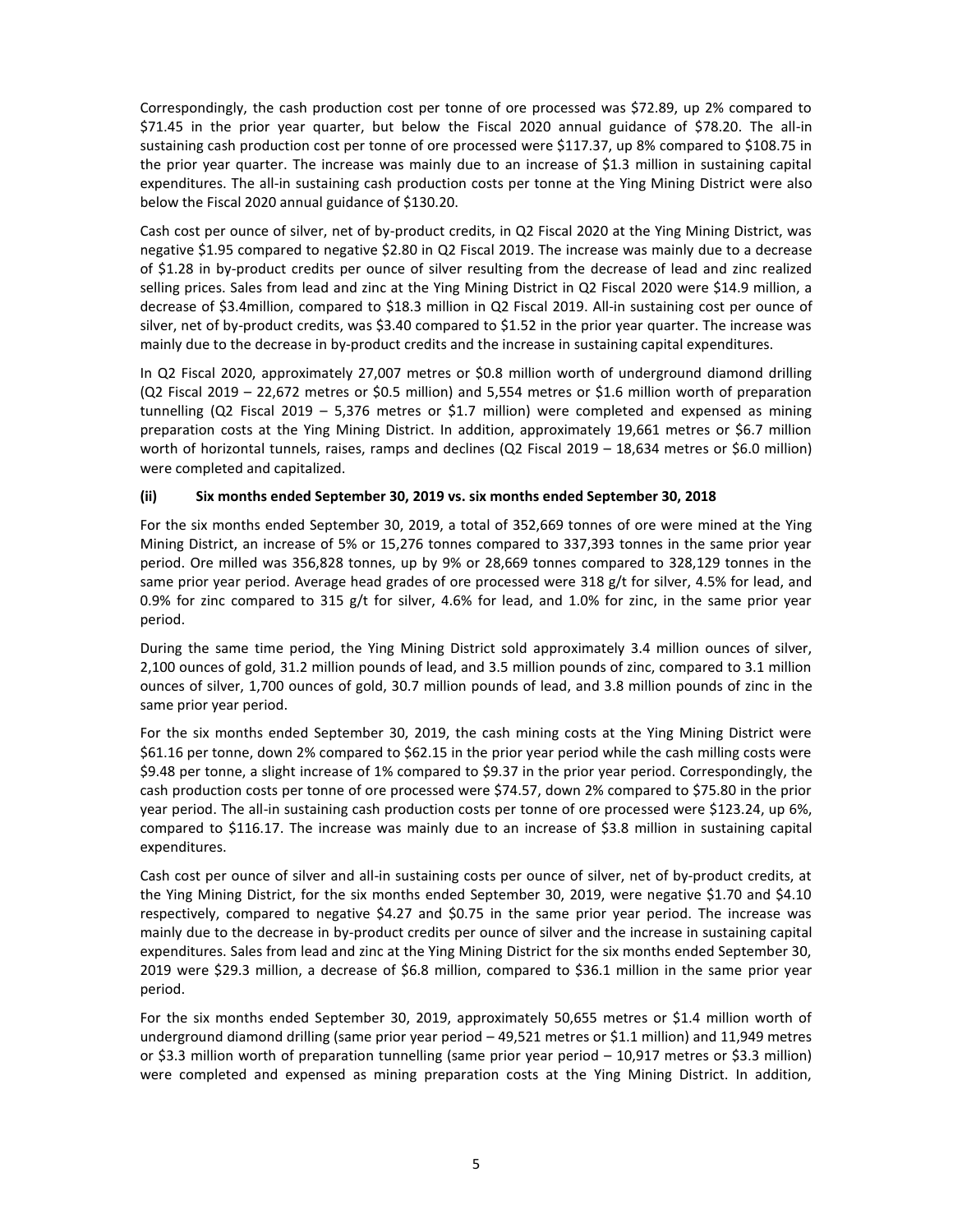Correspondingly, the cash production cost per tonne of ore processed was \$72.89, up 2% compared to \$71.45 in the prior year quarter, but below the Fiscal 2020 annual guidance of \$78.20. The all-in sustaining cash production cost per tonne of ore processed were \$117.37, up 8% compared to \$108.75 in the prior year quarter. The increase was mainly due to an increase of \$1.3 million in sustaining capital expenditures. The all-in sustaining cash production costs per tonne at the Ying Mining District were also below the Fiscal 2020 annual guidance of \$130.20.

Cash cost per ounce of silver, net of by-product credits, in Q2 Fiscal 2020 at the Ying Mining District, was negative \$1.95 compared to negative \$2.80 in Q2 Fiscal 2019. The increase was mainly due to a decrease of \$1.28 in by-product credits per ounce of silver resulting from the decrease of lead and zinc realized selling prices. Sales from lead and zinc at the Ying Mining District in Q2 Fiscal 2020 were \$14.9 million, a decrease of \$3.4million, compared to \$18.3 million in Q2 Fiscal 2019. All-in sustaining cost per ounce of silver, net of by-product credits, was \$3.40 compared to \$1.52 in the prior year quarter. The increase was mainly due to the decrease in by-product credits and the increase in sustaining capital expenditures.

In Q2 Fiscal 2020, approximately 27,007 metres or \$0.8 million worth of underground diamond drilling (Q2 Fiscal 2019 – 22,672 metres or \$0.5 million) and 5,554 metres or \$1.6 million worth of preparation tunnelling (Q2 Fiscal 2019 – 5,376 metres or \$1.7 million) were completed and expensed as mining preparation costs at the Ying Mining District. In addition, approximately 19,661 metres or \$6.7 million worth of horizontal tunnels, raises, ramps and declines (Q2 Fiscal 2019 – 18,634 metres or \$6.0 million) were completed and capitalized.

### **(ii) Six months ended September 30, 2019 vs. six months ended September 30, 2018**

For the six months ended September 30, 2019, a total of 352,669 tonnes of ore were mined at the Ying Mining District, an increase of 5% or 15,276 tonnes compared to 337,393 tonnes in the same prior year period. Ore milled was 356,828 tonnes, up by 9% or 28,669 tonnes compared to 328,129 tonnes in the same prior year period. Average head grades of ore processed were 318 g/t for silver, 4.5% for lead, and 0.9% for zinc compared to 315 g/t for silver, 4.6% for lead, and 1.0% for zinc, in the same prior year period.

During the same time period, the Ying Mining District sold approximately 3.4 million ounces of silver, 2,100 ounces of gold, 31.2 million pounds of lead, and 3.5 million pounds of zinc, compared to 3.1 million ounces of silver, 1,700 ounces of gold, 30.7 million pounds of lead, and 3.8 million pounds of zinc in the same prior year period.

For the six months ended September 30, 2019, the cash mining costs at the Ying Mining District were \$61.16 per tonne, down 2% compared to \$62.15 in the prior year period while the cash milling costs were \$9.48 per tonne, a slight increase of 1% compared to \$9.37 in the prior year period. Correspondingly, the cash production costs per tonne of ore processed were \$74.57, down 2% compared to \$75.80 in the prior year period. The all-in sustaining cash production costs per tonne of ore processed were \$123.24, up 6%, compared to \$116.17. The increase was mainly due to an increase of \$3.8 million in sustaining capital expenditures.

Cash cost per ounce of silver and all-in sustaining costs per ounce of silver, net of by‐product credits, at the Ying Mining District, for the six months ended September 30, 2019, were negative \$1.70 and \$4.10 respectively, compared to negative \$4.27 and \$0.75 in the same prior year period. The increase was mainly due to the decrease in by-product credits per ounce of silver and the increase in sustaining capital expenditures. Sales from lead and zinc at the Ying Mining District for the six months ended September 30, 2019 were \$29.3 million, a decrease of \$6.8 million, compared to \$36.1 million in the same prior year period.

For the six months ended September 30, 2019, approximately 50,655 metres or \$1.4 million worth of underground diamond drilling (same prior year period – 49,521 metres or \$1.1 million) and 11,949 metres or \$3.3 million worth of preparation tunnelling (same prior year period – 10,917 metres or \$3.3 million) were completed and expensed as mining preparation costs at the Ying Mining District. In addition,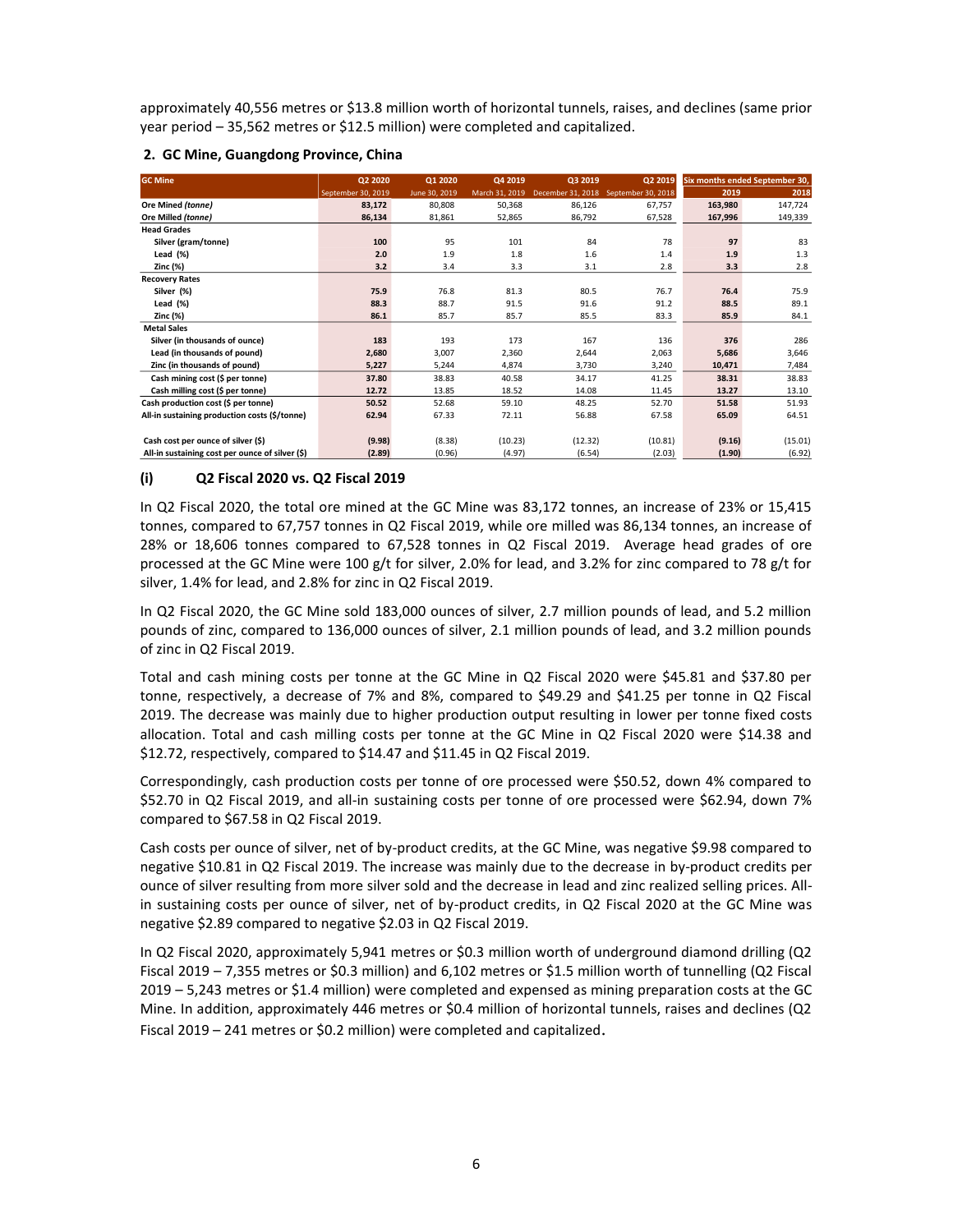approximately 40,556 metres or \$13.8 million worth of horizontal tunnels, raises, and declines (same prior year period – 35,562 metres or \$12.5 million) were completed and capitalized.

| <b>GC Mine</b>                                  | Q2 2020            | Q1 2020       | Q4 2019        | Q3 2019           | Q2 2019            |         | Six months ended September 30, |
|-------------------------------------------------|--------------------|---------------|----------------|-------------------|--------------------|---------|--------------------------------|
|                                                 | September 30, 2019 | June 30, 2019 | March 31, 2019 | December 31, 2018 | September 30, 2018 | 2019    | 2018                           |
| Ore Mined (tonne)                               | 83,172             | 80,808        | 50,368         | 86,126            | 67,757             | 163,980 | 147,724                        |
| Ore Milled (tonne)                              | 86,134             | 81,861        | 52,865         | 86,792            | 67,528             | 167,996 | 149,339                        |
| <b>Head Grades</b>                              |                    |               |                |                   |                    |         |                                |
| Silver (gram/tonne)                             | 100                | 95            | 101            | 84                | 78                 | 97      | 83                             |
| Lead (%)                                        | 2.0                | 1.9           | 1.8            | 1.6               | 1.4                | 1.9     | 1.3                            |
| <b>Zinc (%)</b>                                 | 3.2                | 3.4           | 3.3            | 3.1               | 2.8                | 3.3     | 2.8                            |
| <b>Recovery Rates</b>                           |                    |               |                |                   |                    |         |                                |
| Silver (%)                                      | 75.9               | 76.8          | 81.3           | 80.5              | 76.7               | 76.4    | 75.9                           |
| Lead $(\%)$                                     | 88.3               | 88.7          | 91.5           | 91.6              | 91.2               | 88.5    | 89.1                           |
| <b>Zinc (%)</b>                                 | 86.1               | 85.7          | 85.7           | 85.5              | 83.3               | 85.9    | 84.1                           |
| <b>Metal Sales</b>                              |                    |               |                |                   |                    |         |                                |
| Silver (in thousands of ounce)                  | 183                | 193           | 173            | 167               | 136                | 376     | 286                            |
| Lead (in thousands of pound)                    | 2,680              | 3,007         | 2,360          | 2,644             | 2,063              | 5,686   | 3,646                          |
| Zinc (in thousands of pound)                    | 5,227              | 5,244         | 4,874          | 3.730             | 3,240              | 10,471  | 7,484                          |
| Cash mining cost (\$ per tonne)                 | 37.80              | 38.83         | 40.58          | 34.17             | 41.25              | 38.31   | 38.83                          |
| Cash milling cost (\$ per tonne)                | 12.72              | 13.85         | 18.52          | 14.08             | 11.45              | 13.27   | 13.10                          |
| Cash production cost (\$ per tonne)             | 50.52              | 52.68         | 59.10          | 48.25             | 52.70              | 51.58   | 51.93                          |
| All-in sustaining production costs (\$/tonne)   | 62.94              | 67.33         | 72.11          | 56.88             | 67.58              | 65.09   | 64.51                          |
|                                                 |                    |               |                |                   |                    |         |                                |
| Cash cost per ounce of silver (\$)              | (9.98)             | (8.38)        | (10.23)        | (12.32)           | (10.81)            | (9.16)  | (15.01)                        |
| All-in sustaining cost per ounce of silver (\$) | (2.89)             | (0.96)        | (4.97)         | (6.54)            | (2.03)             | (1.90)  | (6.92)                         |

### **2. GC Mine, Guangdong Province, China**

### **(i) Q2 Fiscal 2020 vs. Q2 Fiscal 2019**

In Q2 Fiscal 2020, the total ore mined at the GC Mine was 83,172 tonnes, an increase of 23% or 15,415 tonnes, compared to 67,757 tonnes in Q2 Fiscal 2019, while ore milled was 86,134 tonnes, an increase of 28% or 18,606 tonnes compared to 67,528 tonnes in Q2 Fiscal 2019. Average head grades of ore processed at the GC Mine were 100 g/t for silver, 2.0% for lead, and 3.2% for zinc compared to 78 g/t for silver, 1.4% for lead, and 2.8% for zinc in Q2 Fiscal 2019.

In Q2 Fiscal 2020, the GC Mine sold 183,000 ounces of silver, 2.7 million pounds of lead, and 5.2 million pounds of zinc, compared to 136,000 ounces of silver, 2.1 million pounds of lead, and 3.2 million pounds of zinc in Q2 Fiscal 2019.

Total and cash mining costs per tonne at the GC Mine in Q2 Fiscal 2020 were \$45.81 and \$37.80 per tonne, respectively, a decrease of 7% and 8%, compared to \$49.29 and \$41.25 per tonne in Q2 Fiscal 2019. The decrease was mainly due to higher production output resulting in lower per tonne fixed costs allocation. Total and cash milling costs per tonne at the GC Mine in Q2 Fiscal 2020 were \$14.38 and \$12.72, respectively, compared to \$14.47 and \$11.45 in Q2 Fiscal 2019.

Correspondingly, cash production costs per tonne of ore processed were \$50.52, down 4% compared to \$52.70 in Q2 Fiscal 2019, and all-in sustaining costs per tonne of ore processed were \$62.94, down 7% compared to \$67.58 in Q2 Fiscal 2019.

Cash costs per ounce of silver, net of by-product credits, at the GC Mine, was negative \$9.98 compared to negative \$10.81 in Q2 Fiscal 2019. The increase was mainly due to the decrease in by-product credits per ounce of silver resulting from more silver sold and the decrease in lead and zinc realized selling prices. Allin sustaining costs per ounce of silver, net of by-product credits, in Q2 Fiscal 2020 at the GC Mine was negative \$2.89 compared to negative \$2.03 in Q2 Fiscal 2019.

In Q2 Fiscal 2020, approximately 5,941 metres or \$0.3 million worth of underground diamond drilling (Q2 Fiscal 2019 – 7,355 metres or \$0.3 million) and 6,102 metres or \$1.5 million worth of tunnelling (Q2 Fiscal 2019 – 5,243 metres or \$1.4 million) were completed and expensed as mining preparation costs at the GC Mine. In addition, approximately 446 metres or \$0.4 million of horizontal tunnels, raises and declines (Q2 Fiscal 2019 – 241 metres or \$0.2 million) were completed and capitalized.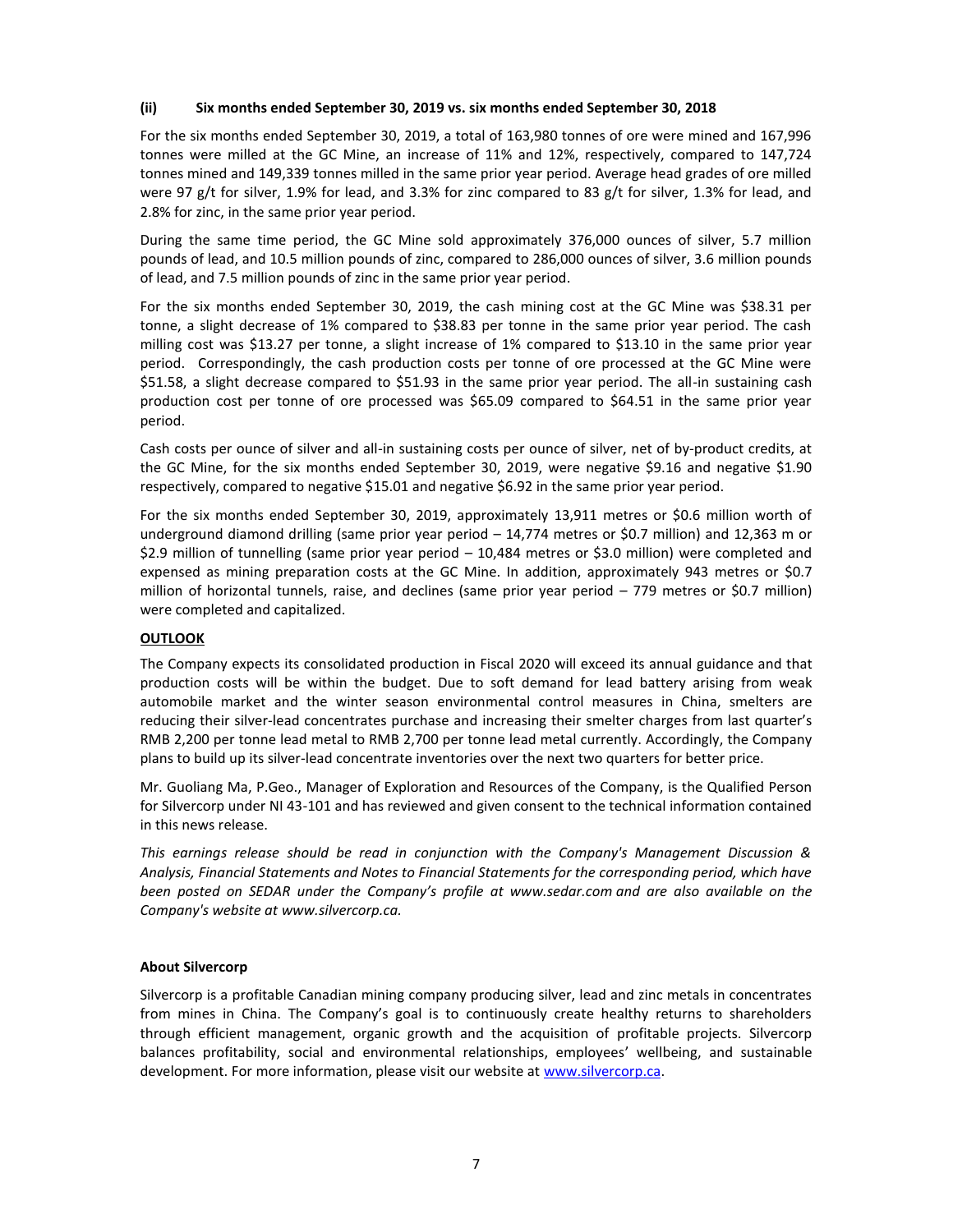### **(ii) Six months ended September 30, 2019 vs. six months ended September 30, 2018**

For the six months ended September 30, 2019, a total of 163,980 tonnes of ore were mined and 167,996 tonnes were milled at the GC Mine, an increase of 11% and 12%, respectively, compared to 147,724 tonnes mined and 149,339 tonnes milled in the same prior year period. Average head grades of ore milled were 97 g/t for silver, 1.9% for lead, and 3.3% for zinc compared to 83 g/t for silver, 1.3% for lead, and 2.8% for zinc, in the same prior year period.

During the same time period, the GC Mine sold approximately 376,000 ounces of silver, 5.7 million pounds of lead, and 10.5 million pounds of zinc, compared to 286,000 ounces of silver, 3.6 million pounds of lead, and 7.5 million pounds of zinc in the same prior year period.

For the six months ended September 30, 2019, the cash mining cost at the GC Mine was \$38.31 per tonne, a slight decrease of 1% compared to \$38.83 per tonne in the same prior year period. The cash milling cost was \$13.27 per tonne, a slight increase of 1% compared to \$13.10 in the same prior year period. Correspondingly, the cash production costs per tonne of ore processed at the GC Mine were \$51.58, a slight decrease compared to \$51.93 in the same prior year period. The all-in sustaining cash production cost per tonne of ore processed was \$65.09 compared to \$64.51 in the same prior year period.

Cash costs per ounce of silver and all-in sustaining costs per ounce of silver, net of by‐product credits, at the GC Mine, for the six months ended September 30, 2019, were negative \$9.16 and negative \$1.90 respectively, compared to negative \$15.01 and negative \$6.92 in the same prior year period.

For the six months ended September 30, 2019, approximately 13,911 metres or \$0.6 million worth of underground diamond drilling (same prior year period – 14,774 metres or \$0.7 million) and 12,363 m or \$2.9 million of tunnelling (same prior year period – 10,484 metres or \$3.0 million) were completed and expensed as mining preparation costs at the GC Mine. In addition, approximately 943 metres or \$0.7 million of horizontal tunnels, raise, and declines (same prior year period – 779 metres or \$0.7 million) were completed and capitalized.

### **OUTLOOK**

The Company expects its consolidated production in Fiscal 2020 will exceed its annual guidance and that production costs will be within the budget. Due to soft demand for lead battery arising from weak automobile market and the winter season environmental control measures in China, smelters are reducing their silver-lead concentrates purchase and increasing their smelter charges from last quarter's RMB 2,200 per tonne lead metal to RMB 2,700 per tonne lead metal currently. Accordingly, the Company plans to build up its silver-lead concentrate inventories over the next two quarters for better price.

Mr. Guoliang Ma, P.Geo., Manager of Exploration and Resources of the Company, is the Qualified Person for Silvercorp under NI 43-101 and has reviewed and given consent to the technical information contained in this news release.

*This earnings release should be read in conjunction with the Company's Management Discussion & Analysis, Financial Statements and Notes to Financial Statements for the corresponding period, which have been posted on SEDAR under the Company's profile at www.sedar.com and are also available on the Company's website at www.silvercorp.ca.* 

#### **About Silvercorp**

Silvercorp is a profitable Canadian mining company producing silver, lead and zinc metals in concentrates from mines in China. The Company's goal is to continuously create healthy returns to shareholders through efficient management, organic growth and the acquisition of profitable projects. Silvercorp balances profitability, social and environmental relationships, employees' wellbeing, and sustainable development. For more information, please visit our website a[t www.silvercorp.ca.](http://www.silvercorp.ca/)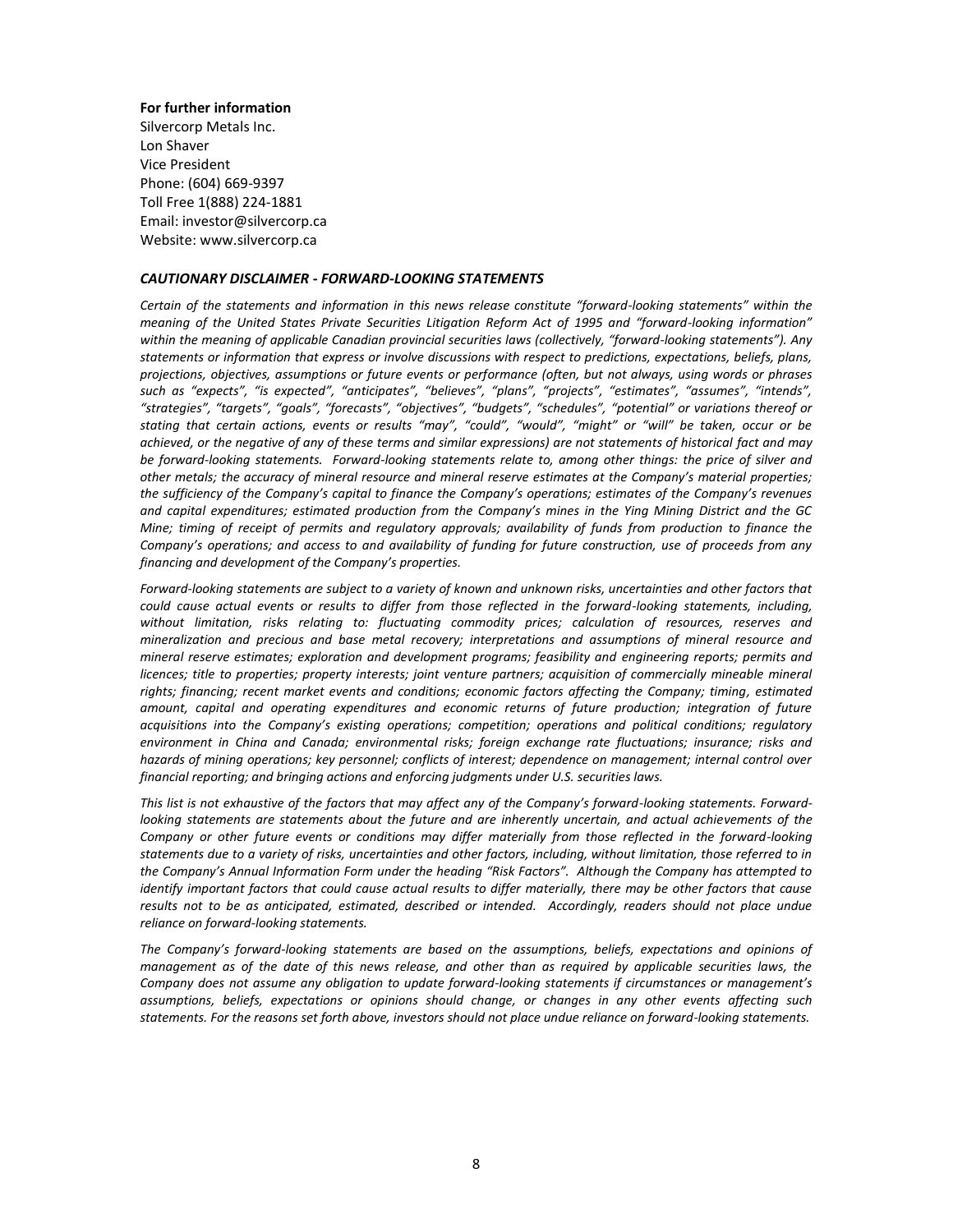#### **For further information**

Silvercorp Metals Inc. Lon Shaver Vice President Phone: (604) 669-9397 Toll Free 1(888) 224-1881 Email: investor@silvercorp.ca Website: www.silvercorp.ca

#### *CAUTIONARY DISCLAIMER - FORWARD-LOOKING STATEMENTS*

*Certain of the statements and information in this news release constitute "forward-looking statements" within the meaning of the United States Private Securities Litigation Reform Act of 1995 and "forward-looking information" within the meaning of applicable Canadian provincial securities laws (collectively, "forward-looking statements"). Any statements or information that express or involve discussions with respect to predictions, expectations, beliefs, plans, projections, objectives, assumptions or future events or performance (often, but not always, using words or phrases such as "expects", "is expected", "anticipates", "believes", "plans", "projects", "estimates", "assumes", "intends", "strategies", "targets", "goals", "forecasts", "objectives", "budgets", "schedules", "potential" or variations thereof or stating that certain actions, events or results "may", "could", "would", "might" or "will" be taken, occur or be achieved, or the negative of any of these terms and similar expressions) are not statements of historical fact and may*  be forward-looking statements. Forward-looking statements relate to, among other things: the price of silver and *other metals; the accuracy of mineral resource and mineral reserve estimates at the Company's material properties; the sufficiency of the Company's capital to finance the Company's operations; estimates of the Company's revenues and capital expenditures; estimated production from the Company's mines in the Ying Mining District and the GC Mine; timing of receipt of permits and regulatory approvals; availability of funds from production to finance the Company's operations; and access to and availability of funding for future construction, use of proceeds from any financing and development of the Company's properties.*

Forward-looking statements are subject to a variety of known and unknown risks, uncertainties and other factors that *could cause actual events or results to differ from those reflected in the forward-looking statements, including, without limitation, risks relating to: fluctuating commodity prices; calculation of resources, reserves and mineralization and precious and base metal recovery; interpretations and assumptions of mineral resource and mineral reserve estimates; exploration and development programs; feasibility and engineering reports; permits and licences; title to properties; property interests; joint venture partners; acquisition of commercially mineable mineral rights; financing; recent market events and conditions; economic factors affecting the Company; timing, estimated amount, capital and operating expenditures and economic returns of future production; integration of future acquisitions into the Company's existing operations; competition; operations and political conditions; regulatory environment in China and Canada; environmental risks; foreign exchange rate fluctuations; insurance; risks and hazards of mining operations; key personnel; conflicts of interest; dependence on management; internal control over financial reporting; and bringing actions and enforcing judgments under U.S. securities laws.*

*This list is not exhaustive of the factors that may affect any of the Company's forward-looking statements. Forwardlooking statements are statements about the future and are inherently uncertain, and actual achievements of the Company or other future events or conditions may differ materially from those reflected in the forward-looking statements due to a variety of risks, uncertainties and other factors, including, without limitation, those referred to in the Company's Annual Information Form under the heading "Risk Factors". Although the Company has attempted to identify important factors that could cause actual results to differ materially, there may be other factors that cause*  results not to be as anticipated, estimated, described or intended. Accordingly, readers should not place undue *reliance on forward-looking statements.* 

*The Company's forward-looking statements are based on the assumptions, beliefs, expectations and opinions of management as of the date of this news release, and other than as required by applicable securities laws, the Company does not assume any obligation to update forward-looking statements if circumstances or management's assumptions, beliefs, expectations or opinions should change, or changes in any other events affecting such statements. For the reasons set forth above, investors should not place undue reliance on forward-looking statements.*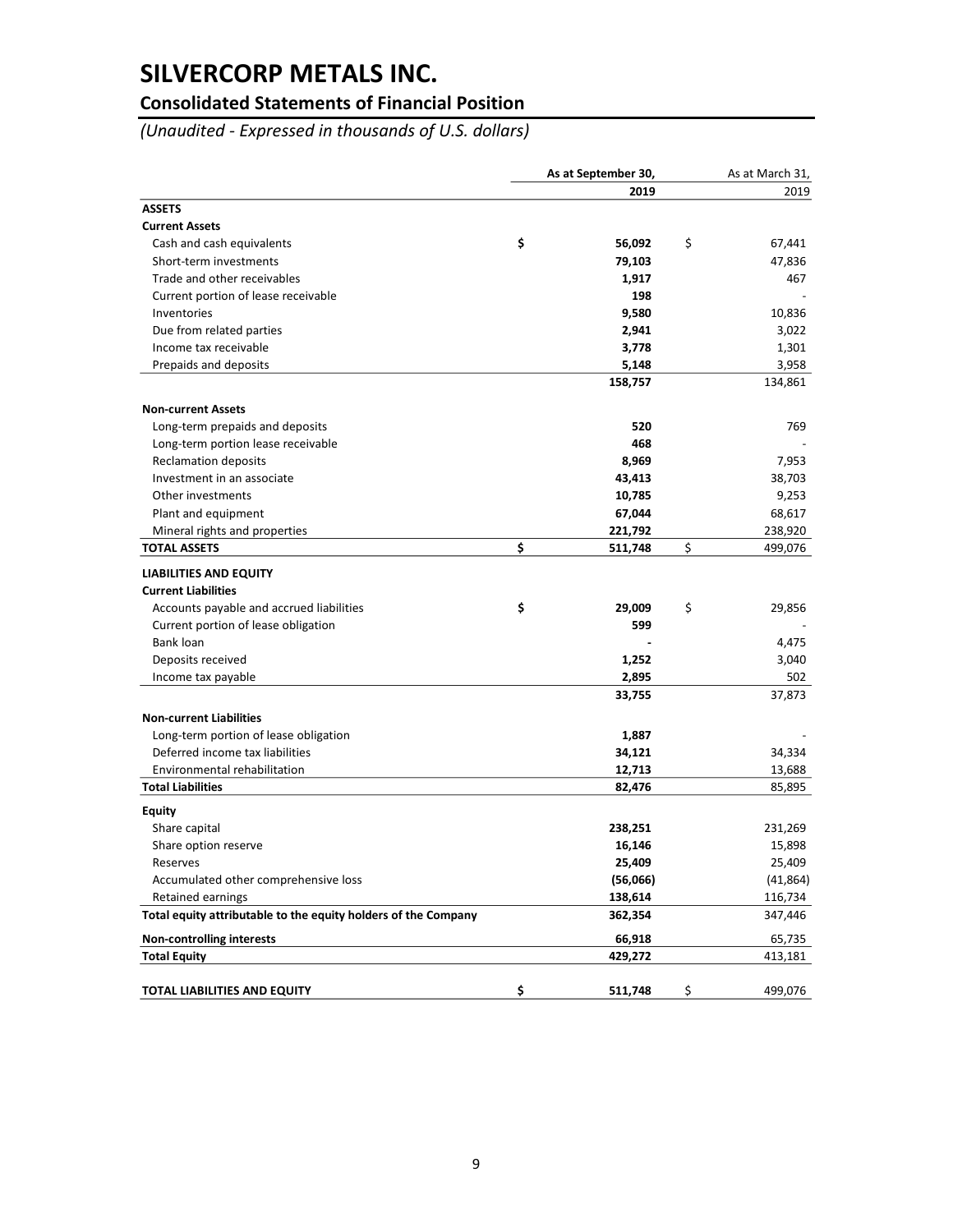## **Consolidated Statements of Financial Position**

*(Unaudited - Expressed in thousands of U.S. dollars)*

|                                                                | As at September 30, |          |    | As at March 31, |  |  |
|----------------------------------------------------------------|---------------------|----------|----|-----------------|--|--|
|                                                                |                     | 2019     |    | 2019            |  |  |
| <b>ASSETS</b>                                                  |                     |          |    |                 |  |  |
| <b>Current Assets</b>                                          |                     |          |    |                 |  |  |
| Cash and cash equivalents                                      | \$                  | 56,092   | \$ | 67,441          |  |  |
| Short-term investments                                         |                     | 79,103   |    | 47,836          |  |  |
| Trade and other receivables                                    |                     | 1,917    |    | 467             |  |  |
| Current portion of lease receivable                            |                     | 198      |    |                 |  |  |
| Inventories                                                    |                     | 9,580    |    | 10,836          |  |  |
| Due from related parties                                       |                     | 2,941    |    | 3,022           |  |  |
| Income tax receivable                                          |                     | 3,778    |    | 1,301           |  |  |
| Prepaids and deposits                                          |                     | 5,148    |    | 3,958           |  |  |
|                                                                |                     | 158,757  |    | 134,861         |  |  |
| <b>Non-current Assets</b>                                      |                     |          |    |                 |  |  |
| Long-term prepaids and deposits                                |                     | 520      |    | 769             |  |  |
| Long-term portion lease receivable                             |                     | 468      |    |                 |  |  |
| Reclamation deposits                                           |                     | 8,969    |    | 7,953           |  |  |
| Investment in an associate                                     |                     | 43,413   |    | 38,703          |  |  |
| Other investments                                              |                     | 10,785   |    | 9,253           |  |  |
| Plant and equipment                                            |                     | 67,044   |    | 68,617          |  |  |
| Mineral rights and properties                                  |                     | 221,792  |    | 238,920         |  |  |
| <b>TOTAL ASSETS</b>                                            | \$                  | 511,748  | \$ | 499,076         |  |  |
| <b>LIABILITIES AND EQUITY</b>                                  |                     |          |    |                 |  |  |
| <b>Current Liabilities</b>                                     |                     |          |    |                 |  |  |
| Accounts payable and accrued liabilities                       | \$                  | 29,009   | \$ | 29,856          |  |  |
| Current portion of lease obligation                            |                     | 599      |    |                 |  |  |
| Bank loan                                                      |                     |          |    | 4,475           |  |  |
| Deposits received                                              |                     | 1,252    |    | 3,040           |  |  |
| Income tax payable                                             |                     | 2,895    |    | 502             |  |  |
|                                                                |                     | 33,755   |    | 37,873          |  |  |
| <b>Non-current Liabilities</b>                                 |                     |          |    |                 |  |  |
| Long-term portion of lease obligation                          |                     | 1,887    |    |                 |  |  |
| Deferred income tax liabilities                                |                     | 34,121   |    | 34,334          |  |  |
| Environmental rehabilitation                                   |                     | 12,713   |    | 13,688          |  |  |
| <b>Total Liabilities</b>                                       |                     | 82,476   |    | 85,895          |  |  |
| <b>Equity</b>                                                  |                     |          |    |                 |  |  |
| Share capital                                                  |                     | 238,251  |    | 231,269         |  |  |
| Share option reserve                                           |                     | 16,146   |    | 15,898          |  |  |
| Reserves                                                       |                     | 25,409   |    | 25,409          |  |  |
| Accumulated other comprehensive loss                           |                     | (56,066) |    | (41, 864)       |  |  |
| Retained earnings                                              |                     | 138,614  |    | 116,734         |  |  |
| Total equity attributable to the equity holders of the Company |                     | 362,354  |    | 347,446         |  |  |
| <b>Non-controlling interests</b>                               |                     | 66,918   |    | 65,735          |  |  |
| <b>Total Equity</b>                                            |                     | 429,272  |    | 413,181         |  |  |
| <b>TOTAL LIABILITIES AND EQUITY</b>                            | \$                  | 511,748  | \$ | 499,076         |  |  |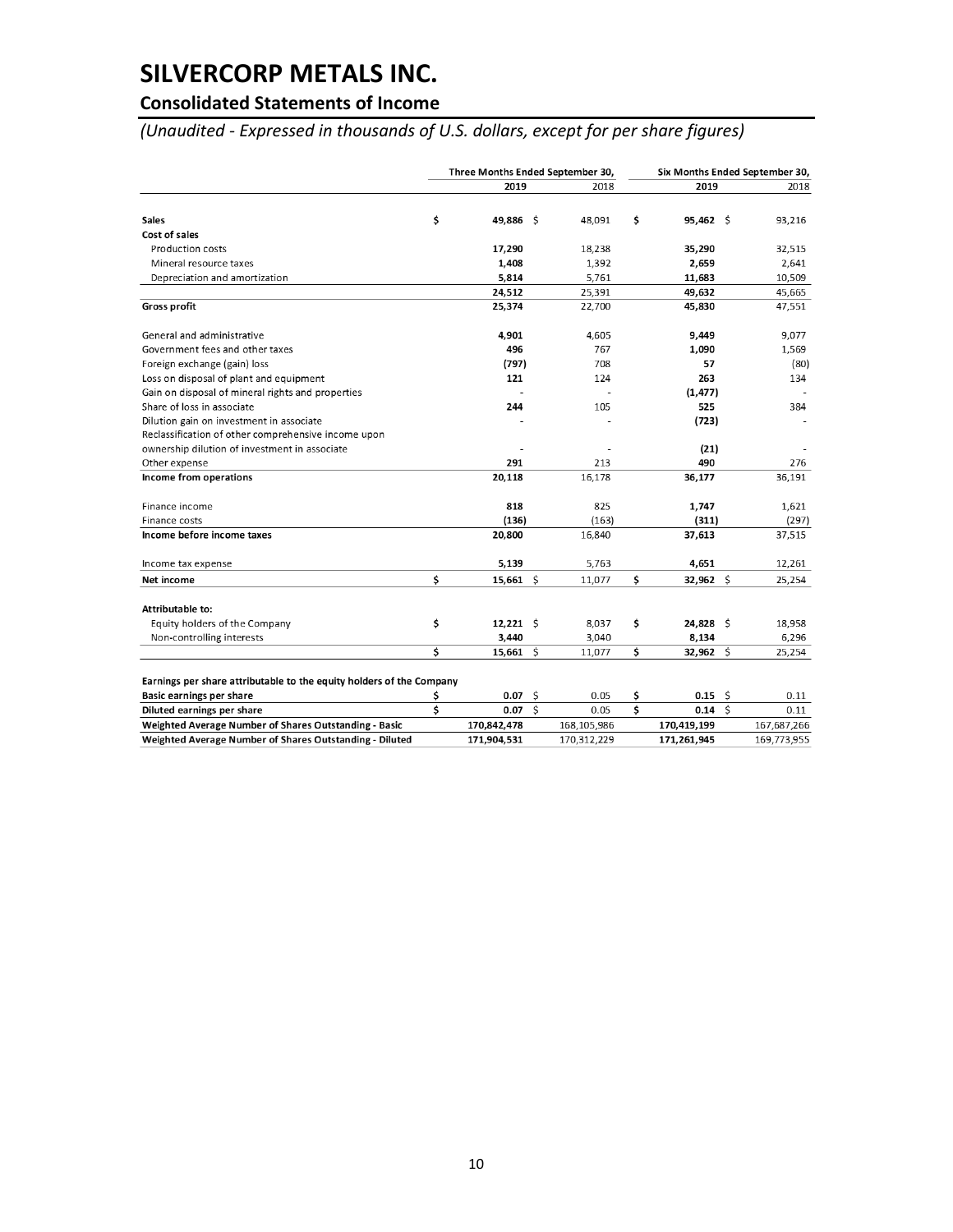## **Consolidated Statements of Income**

*(Unaudited - Expressed in thousands of U.S. dollars, except for per share figures)*

|                                                                      |    | Three Months Ended September 30, |                         |             |    | Six Months Ended September 30, |                    |             |  |  |
|----------------------------------------------------------------------|----|----------------------------------|-------------------------|-------------|----|--------------------------------|--------------------|-------------|--|--|
|                                                                      |    | 2019                             |                         | 2018        |    | 2019                           |                    | 2018        |  |  |
| Sales                                                                | \$ | 49,886 \$                        |                         |             | \$ | $95,462 \quad$                 |                    |             |  |  |
| Cost of sales                                                        |    |                                  |                         | 48,091      |    |                                |                    | 93,216      |  |  |
| <b>Production costs</b>                                              |    |                                  |                         |             |    |                                |                    |             |  |  |
|                                                                      |    | 17,290                           |                         | 18,238      |    | 35,290                         |                    | 32,515      |  |  |
| Mineral resource taxes                                               |    | 1,408                            |                         | 1,392       |    | 2,659                          |                    | 2,641       |  |  |
| Depreciation and amortization                                        |    | 5,814                            |                         | 5,761       |    | 11,683                         |                    | 10,509      |  |  |
|                                                                      |    | 24,512                           |                         | 25,391      |    | 49,632                         |                    | 45,665      |  |  |
| <b>Gross profit</b>                                                  |    | 25,374                           |                         | 22,700      |    | 45,830                         |                    | 47,551      |  |  |
| General and administrative                                           |    | 4,901                            |                         | 4,605       |    | 9,449                          |                    | 9,077       |  |  |
| Government fees and other taxes                                      |    | 496                              |                         | 767         |    | 1,090                          |                    | 1,569       |  |  |
| Foreign exchange (gain) loss                                         |    | (797)                            |                         | 708         |    | 57                             |                    | (80)        |  |  |
| Loss on disposal of plant and equipment                              |    | 121                              |                         | 124         |    | 263                            |                    | 134         |  |  |
| Gain on disposal of mineral rights and properties                    |    |                                  |                         |             |    | (1, 477)                       |                    |             |  |  |
| Share of loss in associate                                           |    | 244                              |                         | 105         |    | 525                            |                    | 384         |  |  |
| Dilution gain on investment in associate                             |    |                                  |                         |             |    | (723)                          |                    |             |  |  |
| Reclassification of other comprehensive income upon                  |    |                                  |                         |             |    |                                |                    |             |  |  |
| ownership dilution of investment in associate                        |    |                                  |                         |             |    | (21)                           |                    |             |  |  |
| Other expense                                                        |    | 291                              |                         | 213         |    | 490                            |                    | 276         |  |  |
| Income from operations                                               |    | 20,118                           |                         | 16,178      |    | 36,177                         |                    | 36,191      |  |  |
| Finance income                                                       |    | 818                              |                         | 825         |    | 1,747                          |                    | 1,621       |  |  |
| Finance costs                                                        |    | (136)                            |                         | (163)       |    | (311)                          |                    | (297)       |  |  |
| Income before income taxes                                           |    | 20,800                           |                         | 16,840      |    | 37,613                         |                    | 37,515      |  |  |
| Income tax expense                                                   |    | 5,139                            |                         | 5,763       |    | 4,651                          |                    | 12,261      |  |  |
| Net income                                                           | \$ | $15,661$ \$                      |                         | 11,077      | \$ | 32,962 \$                      |                    | 25,254      |  |  |
|                                                                      |    |                                  |                         |             |    |                                |                    |             |  |  |
| Attributable to:                                                     |    |                                  |                         |             |    |                                |                    |             |  |  |
| Equity holders of the Company                                        | \$ | $12,221$ \$                      |                         | 8,037       | \$ | 24,828 \$                      |                    | 18,958      |  |  |
| Non-controlling interests                                            |    | 3,440                            |                         | 3,040       |    | 8,134                          |                    | 6,296       |  |  |
|                                                                      | \$ | 15,661                           | Ś.                      | 11,077      | \$ | 32,962                         | Ś                  | 25,254      |  |  |
| Earnings per share attributable to the equity holders of the Company |    |                                  |                         |             |    |                                |                    |             |  |  |
| Basic earnings per share                                             | \$ | 0.07                             | Ś.                      | 0.05        | \$ | 0.15                           | \$                 | 0.11        |  |  |
| Diluted earnings per share                                           | Ś  | 0.07                             | $\overline{\mathsf{s}}$ | 0.05        | Ś  | 0.14                           | $\dot{\mathsf{S}}$ | 0.11        |  |  |
| Weighted Average Number of Shares Outstanding - Basic                |    | 170,842,478                      |                         | 168,105,986 |    | 170,419,199                    |                    | 167,687,266 |  |  |
| Weighted Average Number of Shares Outstanding - Diluted              |    | 171,904,531                      |                         | 170,312,229 |    | 171,261,945                    |                    | 169,773,955 |  |  |
|                                                                      |    |                                  |                         |             |    |                                |                    |             |  |  |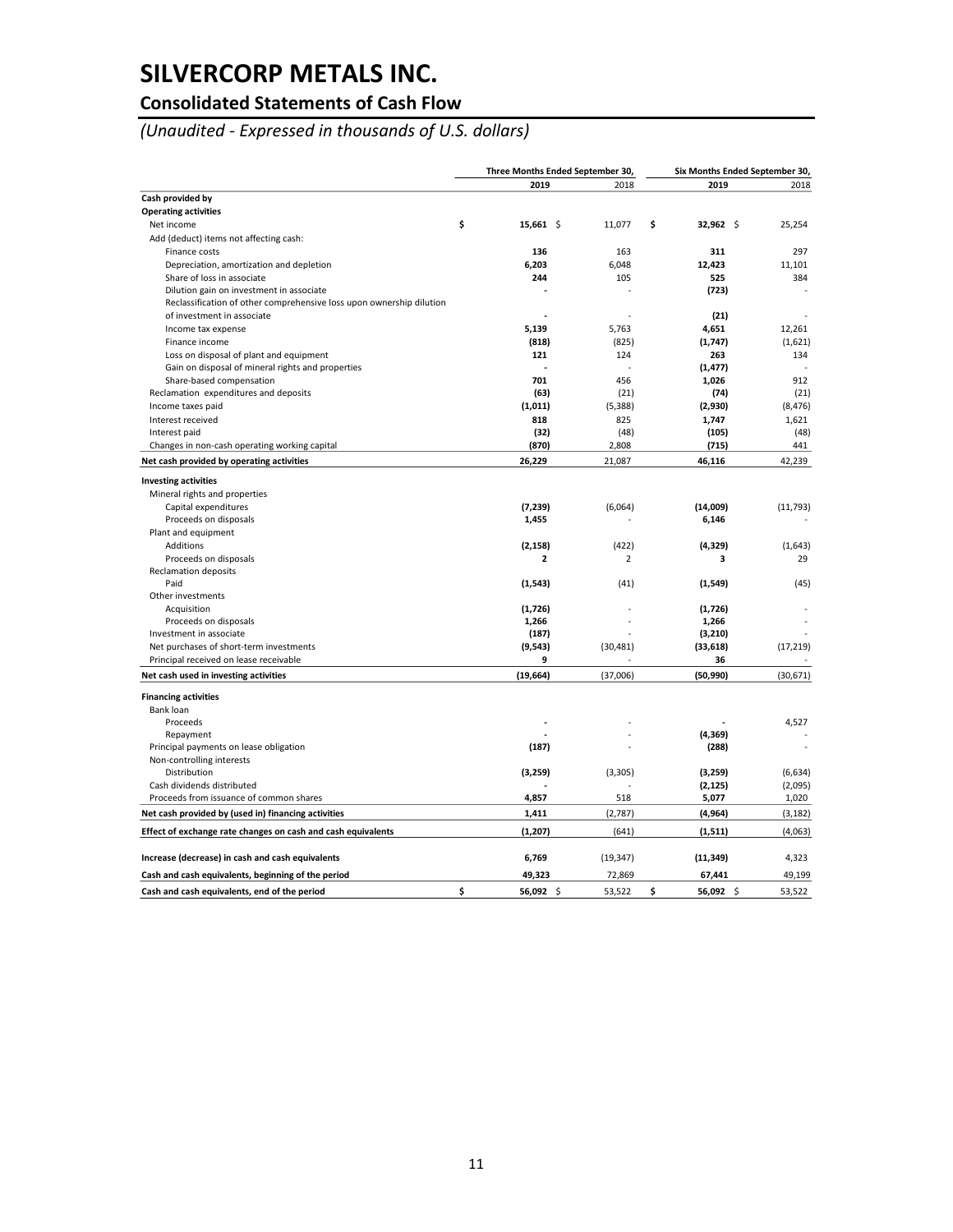## **Consolidated Statements of Cash Flow**

*(Unaudited - Expressed in thousands of U.S. dollars)*

|                                                                      |                            | Three Months Ended September 30, | Six Months Ended September 30, |           |  |  |
|----------------------------------------------------------------------|----------------------------|----------------------------------|--------------------------------|-----------|--|--|
|                                                                      | 2019                       | 2018                             | 2019                           | 2018      |  |  |
| Cash provided by                                                     |                            |                                  |                                |           |  |  |
| <b>Operating activities</b>                                          |                            |                                  |                                |           |  |  |
| \$<br>Net income                                                     | $15,661$ \$                | 11,077                           | \$<br>32,962 \$                | 25,254    |  |  |
| Add (deduct) items not affecting cash:                               |                            |                                  |                                |           |  |  |
| Finance costs                                                        | 136                        | 163                              | 311                            | 297       |  |  |
| Depreciation, amortization and depletion                             | 6,203                      | 6,048                            | 12,423                         | 11,101    |  |  |
| Share of loss in associate                                           | 244                        | 105                              | 525                            | 384       |  |  |
| Dilution gain on investment in associate                             |                            |                                  | (723)                          |           |  |  |
| Reclassification of other comprehensive loss upon ownership dilution |                            |                                  |                                |           |  |  |
| of investment in associate                                           |                            |                                  | (21)                           |           |  |  |
| Income tax expense                                                   | 5,139                      | 5,763                            | 4,651                          | 12,261    |  |  |
| Finance income                                                       | (818)                      | (825)                            | (1,747)                        | (1,621)   |  |  |
| Loss on disposal of plant and equipment                              | 121                        | 124                              | 263                            | 134       |  |  |
| Gain on disposal of mineral rights and properties                    |                            |                                  | (1, 477)                       |           |  |  |
| Share-based compensation                                             | 701                        | 456                              | 1,026                          | 912       |  |  |
| Reclamation expenditures and deposits                                | (63)                       | (21)                             | (74)                           | (21)      |  |  |
| Income taxes paid                                                    | (1,011)                    | (5,388)                          | (2,930)                        | (8, 476)  |  |  |
| Interest received                                                    | 818                        | 825                              | 1,747                          | 1,621     |  |  |
| Interest paid                                                        | (32)                       | (48)                             | (105)                          | (48)      |  |  |
| Changes in non-cash operating working capital                        | (870)                      | 2,808                            | (715)                          | 441       |  |  |
| Net cash provided by operating activities                            | 26,229                     | 21,087                           | 46,116                         | 42,239    |  |  |
| <b>Investing activities</b>                                          |                            |                                  |                                |           |  |  |
| Mineral rights and properties                                        |                            |                                  |                                |           |  |  |
| Capital expenditures                                                 | (7, 239)                   | (6,064)                          | (14,009)                       | (11, 793) |  |  |
| Proceeds on disposals                                                | 1,455                      |                                  | 6,146                          |           |  |  |
| Plant and equipment                                                  |                            |                                  |                                |           |  |  |
| Additions                                                            |                            |                                  |                                | (1,643)   |  |  |
| Proceeds on disposals                                                | (2, 158)<br>$\overline{2}$ | (422)<br>$\overline{2}$          | (4, 329)<br>3                  | 29        |  |  |
| <b>Reclamation deposits</b>                                          |                            |                                  |                                |           |  |  |
| Paid                                                                 | (1, 543)                   | (41)                             | (1, 549)                       | (45)      |  |  |
| Other investments                                                    |                            |                                  |                                |           |  |  |
| Acquisition                                                          | (1,726)                    |                                  | (1,726)                        |           |  |  |
| Proceeds on disposals                                                | 1,266                      |                                  | 1,266                          |           |  |  |
| Investment in associate                                              | (187)                      |                                  | (3, 210)                       |           |  |  |
| Net purchases of short-term investments                              | (9, 543)                   | (30, 481)                        | (33, 618)                      | (17, 219) |  |  |
| Principal received on lease receivable                               | 9                          |                                  | 36                             |           |  |  |
| Net cash used in investing activities                                | (19, 664)                  | (37,006)                         | (50, 990)                      | (30, 671) |  |  |
|                                                                      |                            |                                  |                                |           |  |  |
| <b>Financing activities</b>                                          |                            |                                  |                                |           |  |  |
| Bank loan                                                            |                            |                                  |                                |           |  |  |
| Proceeds                                                             |                            |                                  |                                | 4,527     |  |  |
| Repayment                                                            |                            |                                  | (4, 369)                       |           |  |  |
| Principal payments on lease obligation                               | (187)                      |                                  | (288)                          |           |  |  |
| Non-controlling interests                                            |                            |                                  |                                |           |  |  |
| Distribution                                                         | (3,259)                    | (3, 305)                         | (3, 259)                       | (6,634)   |  |  |
| Cash dividends distributed                                           |                            |                                  | (2, 125)                       | (2,095)   |  |  |
| Proceeds from issuance of common shares                              | 4,857                      | 518                              | 5,077                          | 1,020     |  |  |
| Net cash provided by (used in) financing activities                  | 1,411                      | (2,787)                          | (4, 964)                       | (3, 182)  |  |  |
| Effect of exchange rate changes on cash and cash equivalents         | (1, 207)                   | (641)                            | (1, 511)                       | (4,063)   |  |  |
| Increase (decrease) in cash and cash equivalents                     | 6,769                      | (19, 347)                        | (11, 349)                      | 4,323     |  |  |
| Cash and cash equivalents, beginning of the period                   | 49,323                     | 72,869                           | 67,441                         | 49,199    |  |  |
| \$<br>Cash and cash equivalents, end of the period                   | 56,092 \$                  | 53,522                           | \$<br>56,092 \$                | 53,522    |  |  |
|                                                                      |                            |                                  |                                |           |  |  |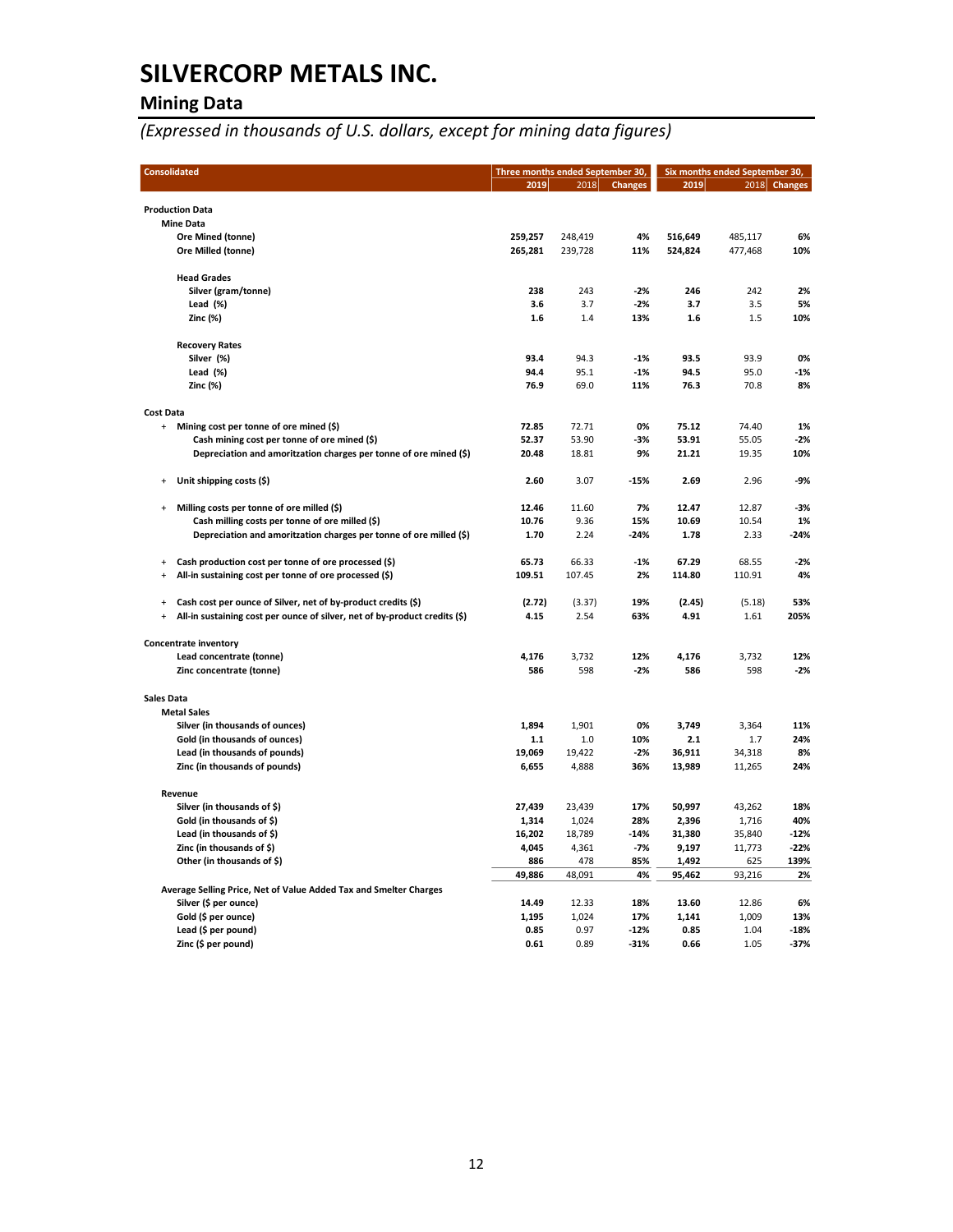## **Mining Data**

# *(Expressed in thousands of U.S. dollars, except for mining data figures)*

| <b>Consolidated</b>                                                                     | Three months ended September 30, |         |                | Six months ended September 30, |         |              |  |
|-----------------------------------------------------------------------------------------|----------------------------------|---------|----------------|--------------------------------|---------|--------------|--|
|                                                                                         | 2019                             | 2018    | <b>Changes</b> | 2019                           |         | 2018 Changes |  |
|                                                                                         |                                  |         |                |                                |         |              |  |
| <b>Production Data</b>                                                                  |                                  |         |                |                                |         |              |  |
| <b>Mine Data</b>                                                                        |                                  |         |                |                                |         |              |  |
| Ore Mined (tonne)                                                                       | 259,257                          | 248,419 | 4%             | 516,649                        | 485,117 | 6%           |  |
| Ore Milled (tonne)                                                                      | 265,281                          | 239,728 | 11%            | 524,824                        | 477,468 | 10%          |  |
| <b>Head Grades</b>                                                                      |                                  |         |                |                                |         |              |  |
| Silver (gram/tonne)                                                                     | 238                              | 243     | $-2%$          | 246                            | 242     | 2%           |  |
| Lead (%)                                                                                | 3.6                              | 3.7     | $-2%$          | 3.7                            | 3.5     | 5%           |  |
| Zinc (%)                                                                                | 1.6                              | 1.4     | 13%            | 1.6                            | 1.5     | 10%          |  |
| <b>Recovery Rates</b>                                                                   |                                  |         |                |                                |         |              |  |
| Silver (%)                                                                              | 93.4                             | 94.3    | $-1%$          | 93.5                           | 93.9    | 0%           |  |
| Lead (%)                                                                                | 94.4                             | 95.1    | $-1%$          | 94.5                           | 95.0    | $-1%$        |  |
| Zinc (%)                                                                                | 76.9                             | 69.0    | 11%            | 76.3                           | 70.8    | 8%           |  |
|                                                                                         |                                  |         |                |                                |         |              |  |
| <b>Cost Data</b>                                                                        |                                  |         |                |                                |         |              |  |
| Mining cost per tonne of ore mined (\$)<br>$\ddot{}$                                    | 72.85                            | 72.71   | 0%             | 75.12                          | 74.40   | 1%           |  |
| Cash mining cost per tonne of ore mined (\$)                                            | 52.37                            | 53.90   | $-3%$          | 53.91                          | 55.05   | $-2%$        |  |
| Depreciation and amoritzation charges per tonne of ore mined (\$)                       | 20.48                            | 18.81   | 9%             | 21.21                          | 19.35   | 10%          |  |
|                                                                                         |                                  |         |                |                                |         |              |  |
| Unit shipping costs (\$)<br>$\overline{1}$                                              | 2.60                             | 3.07    | $-15%$         | 2.69                           | 2.96    | -9%          |  |
| Milling costs per tonne of ore milled (\$)<br>$\ddot{}$                                 | 12.46                            | 11.60   | 7%             | 12.47                          | 12.87   | $-3%$        |  |
| Cash milling costs per tonne of ore milled (\$)                                         | 10.76                            | 9.36    | 15%            | 10.69                          | 10.54   | 1%           |  |
| Depreciation and amoritzation charges per tonne of ore milled (\$)                      | 1.70                             | 2.24    | $-24%$         | 1.78                           | 2.33    | $-24%$       |  |
|                                                                                         |                                  |         |                |                                |         |              |  |
| Cash production cost per tonne of ore processed (\$)<br>$\overline{+}$                  | 65.73                            | 66.33   | $-1%$          | 67.29                          | 68.55   | $-2%$        |  |
| All-in sustaining cost per tonne of ore processed (\$)<br>$\overline{1}$                | 109.51                           | 107.45  | 2%             | 114.80                         | 110.91  | 4%           |  |
| Cash cost per ounce of Silver, net of by-product credits (\$)<br>$\ddot{}$              | (2.72)                           | (3.37)  | 19%            | (2.45)                         | (5.18)  | 53%          |  |
| All-in sustaining cost per ounce of silver, net of by-product credits (\$)<br>$\ddot{}$ | 4.15                             | 2.54    | 63%            | 4.91                           | 1.61    | 205%         |  |
|                                                                                         |                                  |         |                |                                |         |              |  |
| <b>Concentrate inventory</b>                                                            |                                  |         |                |                                |         |              |  |
| Lead concentrate (tonne)                                                                | 4,176                            | 3,732   | 12%            | 4,176                          | 3,732   | 12%          |  |
| Zinc concentrate (tonne)                                                                | 586                              | 598     | $-2%$          | 586                            | 598     | $-2%$        |  |
| <b>Sales Data</b>                                                                       |                                  |         |                |                                |         |              |  |
| <b>Metal Sales</b>                                                                      |                                  |         |                |                                |         |              |  |
| Silver (in thousands of ounces)                                                         | 1,894                            | 1,901   | 0%             | 3,749                          | 3,364   | 11%          |  |
| Gold (in thousands of ounces)                                                           | $1.1$                            | 1.0     | 10%            | 2.1                            | 1.7     | 24%          |  |
| Lead (in thousands of pounds)                                                           | 19,069                           | 19,422  | $-2%$          | 36,911                         | 34,318  | 8%           |  |
| Zinc (in thousands of pounds)                                                           | 6,655                            | 4,888   | 36%            | 13,989                         | 11,265  | 24%          |  |
|                                                                                         |                                  |         |                |                                |         |              |  |
| Revenue                                                                                 |                                  |         |                |                                |         |              |  |
| Silver (in thousands of \$)                                                             | 27,439                           | 23,439  | 17%            | 50,997                         | 43,262  | 18%          |  |
| Gold (in thousands of \$)                                                               | 1,314                            | 1,024   | 28%            | 2,396                          | 1,716   | 40%          |  |
| Lead (in thousands of \$)                                                               | 16,202                           | 18,789  | $-14%$         | 31,380                         | 35,840  | $-12%$       |  |
| Zinc (in thousands of \$)                                                               | 4,045                            | 4,361   | $-7%$          | 9,197                          | 11,773  | $-22%$       |  |
| Other (in thousands of \$)                                                              | 886                              | 478     | 85%            | 1,492                          | 625     | 139%         |  |
| Average Selling Price, Net of Value Added Tax and Smelter Charges                       | 49,886                           | 48,091  | 4%             | 95,462                         | 93,216  | 2%           |  |
| Silver (\$ per ounce)                                                                   | 14.49                            | 12.33   | 18%            | 13.60                          | 12.86   | 6%           |  |
| Gold (\$ per ounce)                                                                     | 1,195                            | 1,024   | 17%            | 1,141                          | 1,009   | 13%          |  |
| Lead (\$ per pound)                                                                     | 0.85                             | 0.97    | $-12%$         | 0.85                           | 1.04    | $-18%$       |  |
| Zinc (\$ per pound)                                                                     | 0.61                             | 0.89    | $-31%$         | 0.66                           | 1.05    | $-37%$       |  |
|                                                                                         |                                  |         |                |                                |         |              |  |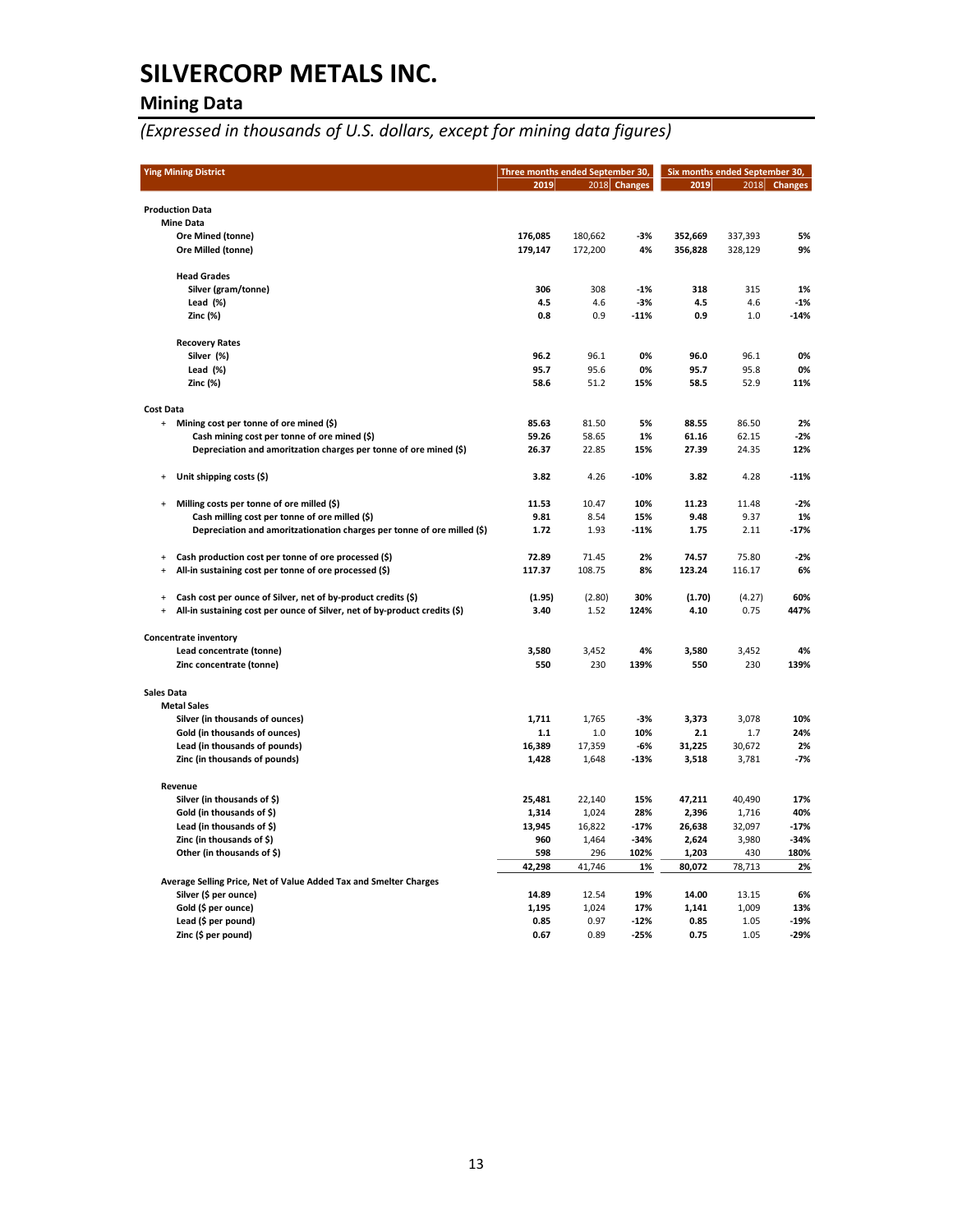## **Mining Data**

# *(Expressed in thousands of U.S. dollars, except for mining data figures)*

| <b>Ying Mining District</b>                                                             | Three months ended September 30, |         |              | Six months ended September 30, |         |         |  |
|-----------------------------------------------------------------------------------------|----------------------------------|---------|--------------|--------------------------------|---------|---------|--|
|                                                                                         | 2019                             |         | 2018 Changes | 2019                           | 2018    | Changes |  |
|                                                                                         |                                  |         |              |                                |         |         |  |
| <b>Production Data</b>                                                                  |                                  |         |              |                                |         |         |  |
| <b>Mine Data</b>                                                                        |                                  |         |              |                                |         |         |  |
| Ore Mined (tonne)                                                                       | 176,085                          | 180,662 | $-3%$        | 352,669                        | 337,393 | 5%      |  |
| Ore Milled (tonne)                                                                      | 179,147                          | 172,200 | 4%           | 356,828                        | 328,129 | 9%      |  |
| <b>Head Grades</b>                                                                      |                                  |         |              |                                |         |         |  |
| Silver (gram/tonne)                                                                     | 306                              | 308     | $-1%$        | 318                            | 315     | 1%      |  |
| Lead $(\%)$                                                                             | 4.5                              | 4.6     | -3%          | 4.5                            | 4.6     | $-1%$   |  |
| Zinc (%)                                                                                | 0.8                              | 0.9     | $-11%$       | 0.9                            | 1.0     | $-14%$  |  |
| <b>Recovery Rates</b>                                                                   |                                  |         |              |                                |         |         |  |
| Silver (%)                                                                              | 96.2                             | 96.1    | 0%           | 96.0                           | 96.1    | 0%      |  |
| Lead (%)                                                                                | 95.7                             | 95.6    | 0%           | 95.7                           | 95.8    | 0%      |  |
| Zinc (%)                                                                                | 58.6                             | 51.2    | 15%          | 58.5                           | 52.9    | 11%     |  |
|                                                                                         |                                  |         |              |                                |         |         |  |
| <b>Cost Data</b><br>$+$<br>Mining cost per tonne of ore mined (\$)                      | 85.63                            | 81.50   | 5%           | 88.55                          | 86.50   | 2%      |  |
| Cash mining cost per tonne of ore mined (\$)                                            | 59.26                            | 58.65   | 1%           | 61.16                          | 62.15   | $-2%$   |  |
| Depreciation and amoritzation charges per tonne of ore mined (\$)                       | 26.37                            | 22.85   | 15%          | 27.39                          | 24.35   | 12%     |  |
|                                                                                         |                                  |         |              |                                |         |         |  |
| Unit shipping costs (\$)<br>$\ddot{}$                                                   | 3.82                             | 4.26    | $-10%$       | 3.82                           | 4.28    | $-11%$  |  |
| Milling costs per tonne of ore milled (\$)<br>$\ddot{}$                                 | 11.53                            | 10.47   | 10%          | 11.23                          | 11.48   | $-2%$   |  |
| Cash milling cost per tonne of ore milled (\$)                                          | 9.81                             | 8.54    | 15%          | 9.48                           | 9.37    | 1%      |  |
| Depreciation and amoritzationation charges per tonne of ore milled (\$)                 | 1.72                             | 1.93    | $-11%$       | 1.75                           | 2.11    | $-17%$  |  |
|                                                                                         |                                  |         |              |                                |         |         |  |
| Cash production cost per tonne of ore processed (\$)<br>$\ddot{}$                       | 72.89                            | 71.45   | 2%           | 74.57                          | 75.80   | $-2%$   |  |
| All-in sustaining cost per tonne of ore processed (\$)<br>$\ddot{}$                     | 117.37                           | 108.75  | 8%           | 123.24                         | 116.17  | 6%      |  |
| Cash cost per ounce of Silver, net of by-product credits (\$)<br>$\ddot{}$              | (1.95)                           | (2.80)  | 30%          | (1.70)                         | (4.27)  | 60%     |  |
| All-in sustaining cost per ounce of Silver, net of by-product credits (\$)<br>$\ddot{}$ | 3.40                             | 1.52    | 124%         | 4.10                           | 0.75    | 447%    |  |
| <b>Concentrate inventory</b>                                                            |                                  |         |              |                                |         |         |  |
| Lead concentrate (tonne)                                                                | 3,580                            | 3,452   | 4%           | 3,580                          | 3,452   | 4%      |  |
| Zinc concentrate (tonne)                                                                | 550                              | 230     | 139%         | 550                            | 230     | 139%    |  |
|                                                                                         |                                  |         |              |                                |         |         |  |
| <b>Sales Data</b>                                                                       |                                  |         |              |                                |         |         |  |
| <b>Metal Sales</b>                                                                      |                                  |         |              |                                |         |         |  |
| Silver (in thousands of ounces)                                                         | 1,711                            | 1,765   | $-3%$        | 3,373                          | 3,078   | 10%     |  |
| Gold (in thousands of ounces)                                                           | $1.1$                            | 1.0     | 10%          | 2.1                            | 1.7     | 24%     |  |
| Lead (in thousands of pounds)                                                           | 16,389                           | 17,359  | -6%          | 31,225                         | 30,672  | 2%      |  |
| Zinc (in thousands of pounds)                                                           | 1,428                            | 1,648   | -13%         | 3,518                          | 3,781   | $-7%$   |  |
| Revenue                                                                                 |                                  |         |              |                                |         |         |  |
| Silver (in thousands of \$)                                                             | 25,481                           | 22,140  | 15%          | 47,211                         | 40,490  | 17%     |  |
| Gold (in thousands of \$)                                                               | 1,314                            | 1,024   | 28%          | 2,396                          | 1,716   | 40%     |  |
| Lead (in thousands of \$)                                                               | 13,945                           | 16,822  | $-17%$       | 26,638                         | 32,097  | $-17%$  |  |
| Zinc (in thousands of \$)                                                               | 960                              | 1,464   | $-34%$       | 2,624                          | 3,980   | $-34%$  |  |
| Other (in thousands of \$)                                                              | 598                              | 296     | 102%         | 1,203                          | 430     | 180%    |  |
|                                                                                         | 42,298                           | 41,746  | 1%           | 80,072                         | 78,713  | 2%      |  |
| Average Selling Price, Net of Value Added Tax and Smelter Charges                       |                                  |         |              |                                |         |         |  |
| Silver (\$ per ounce)                                                                   | 14.89                            | 12.54   | 19%          | 14.00                          | 13.15   | 6%      |  |
| Gold (\$ per ounce)                                                                     | 1,195                            | 1,024   | 17%          | 1,141                          | 1,009   | 13%     |  |
| Lead (\$ per pound)                                                                     | 0.85                             | 0.97    | $-12%$       | 0.85                           | 1.05    | $-19%$  |  |
| Zinc (\$ per pound)                                                                     | 0.67                             | 0.89    | $-25%$       | 0.75                           | 1.05    | $-29%$  |  |